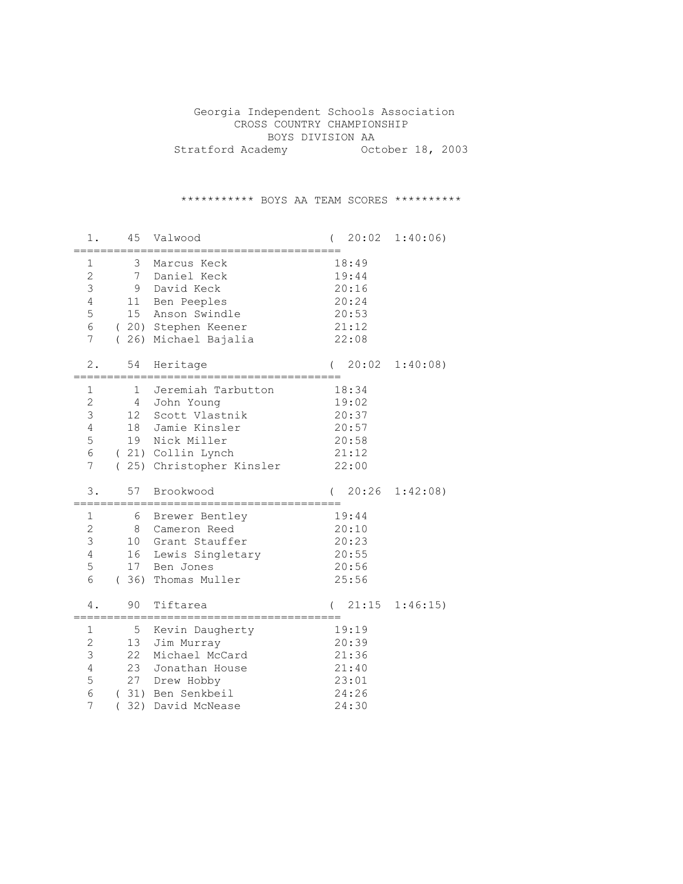Georgia Independent Schools Association CROSS COUNTRY CHAMPIONSHIP BOYS DIVISION AA Stratford Academy October 18, 2003

\*\*\*\*\*\*\*\*\*\*\* BOYS AA TEAM SCORES \*\*\*\*\*\*\*\*\*\*

| 1.                                                                 | 45                                               | Valwood                                                                                                                            |          | 20:02                                                       | 1:40:06)              |
|--------------------------------------------------------------------|--------------------------------------------------|------------------------------------------------------------------------------------------------------------------------------------|----------|-------------------------------------------------------------|-----------------------|
| 1<br>$\overline{2}$<br>3<br>4<br>5<br>6<br>7<br>$\left($           | 3<br>$7\phantom{.0}$<br>9<br>11<br>15            | Marcus Keck<br>Daniel Keck<br>David Keck<br>Ben Peeples<br>Anson Swindle<br>(20) Stephen Keener<br>26) Michael Bajalia             |          | 18:49<br>19:44<br>20:16<br>20:24<br>20:53<br>21:12<br>22:08 |                       |
| $2$ .                                                              | 54                                               | Heritage                                                                                                                           | $\left($ |                                                             | $20:02 \quad 1:40:08$ |
| $\mathbf 1$<br>$\overline{c}$<br>3<br>4<br>5<br>6<br>7<br>$\left($ | $\mathbf{1}$<br>$\overline{4}$<br>12<br>18<br>19 | Jeremiah Tarbutton<br>John Young<br>Scott Vlastnik<br>Jamie Kinsler<br>Nick Miller<br>(21) Collin Lynch<br>25) Christopher Kinsler |          | 18:34<br>19:02<br>20:37<br>20:57<br>20:58<br>21:12<br>22:00 |                       |
| 3.                                                                 | 57                                               | Brookwood                                                                                                                          |          | 20:26                                                       | 1:42:08               |
| $\mathbf 1$<br>$\overline{c}$<br>3<br>4<br>5<br>6<br>4.            | 6<br>8<br>10<br>16<br>17<br>(36)<br>90           | Brewer Bentley<br>Cameron Reed<br>Grant Stauffer<br>Lewis Singletary<br>Ben Jones<br>Thomas Muller<br>Tiftarea                     |          | 19:44<br>20:10<br>20:23<br>20:55<br>20:56<br>25:56<br>21:15 | 1:46:15               |
| 1<br>$\overline{c}$<br>3<br>4<br>5<br>6<br>7<br>$\left($           | 5<br>13<br>22<br>23<br>27                        | Kevin Daugherty<br>Jim Murray<br>Michael McCard<br>Jonathan House<br>Drew Hobby<br>(31) Ben Senkbeil<br>32) David McNease          |          | 19:19<br>20:39<br>21:36<br>21:40<br>23:01<br>24:26<br>24:30 |                       |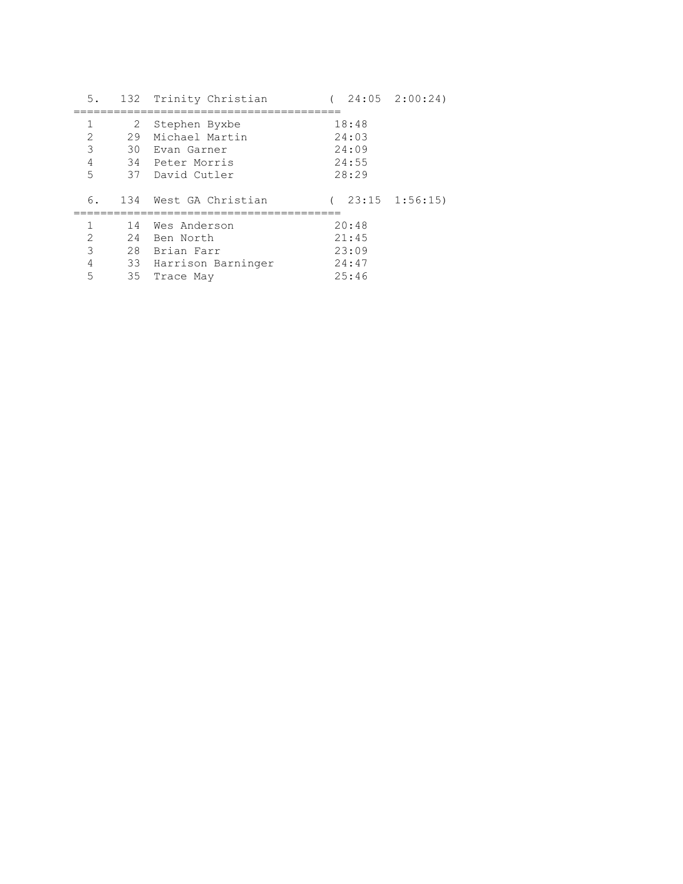| 5.             |    | 132 Trinity Christian | $24:05$ $2:00:24$ |  |
|----------------|----|-----------------------|-------------------|--|
| 1              | 2  | Stephen Byxbe         | 18:48             |  |
| 2              | 29 | Michael Martin        | 24:03             |  |
| 3              |    | 30 Evan Garner        | 24:09             |  |
| $\overline{4}$ |    | 34 Peter Morris       | 24:55             |  |
| 5              |    | 37 David Cutler       | 28:29             |  |
|                |    |                       |                   |  |
| 6.             |    | 134 West GA Christian | $23:15$ $1:56:15$ |  |
| 1              | 14 | Wes Anderson          | 20:48             |  |
| 2              | 24 | Ben North             | 21:45             |  |
| 3              |    | 28 Brian Farr         | 23:09             |  |
| 4              |    | 33 Harrison Barninger | 24:47             |  |
| 5              | 35 | Trace May             | 25:46             |  |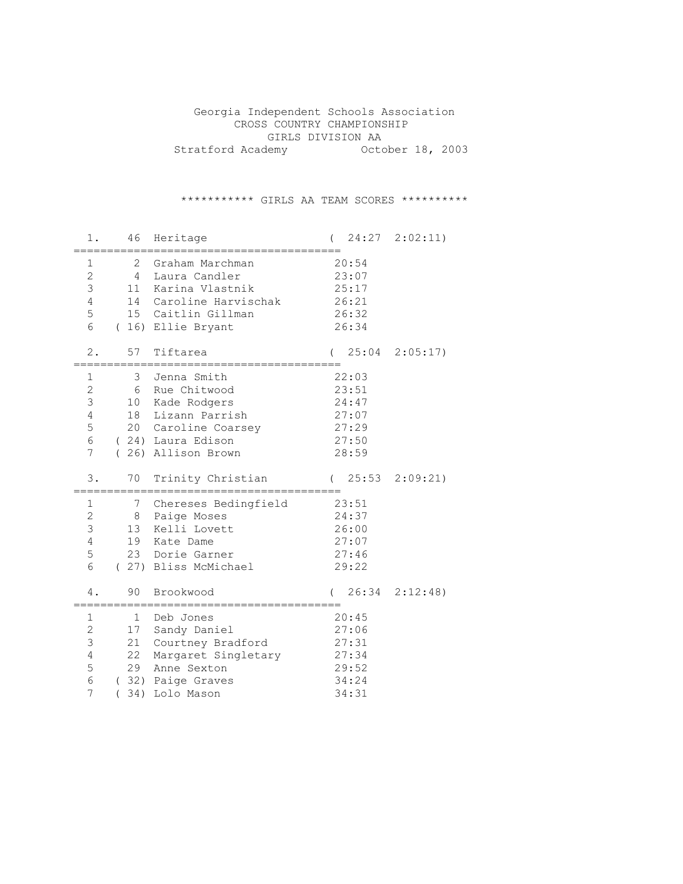Georgia Independent Schools Association CROSS COUNTRY CHAMPIONSHIP GIRLS DIVISION AA Stratford Academy October 18, 2003

\*\*\*\*\*\*\*\*\*\*\* GIRLS AA TEAM SCORES \*\*\*\*\*\*\*\*\*\*

| 1.                                              | 46                                    | Heritage                                                                                                                        |                                                             | 24:27 2:02:11)    |
|-------------------------------------------------|---------------------------------------|---------------------------------------------------------------------------------------------------------------------------------|-------------------------------------------------------------|-------------------|
| 1<br>$\mathbf{2}$<br>3<br>$\sqrt{4}$<br>5<br>6  | 2<br>$\overline{4}$<br>11<br>14       | Graham Marchman<br>Laura Candler<br>Karina Vlastnik<br>Caroline Harvischak<br>15 Caitlin Gillman<br>(16) Ellie Bryant           | 20:54<br>23:07<br>25:17<br>26:21<br>26:32<br>26:34          |                   |
| 2.                                              | 57                                    | Tiftarea                                                                                                                        | 25:04                                                       | 2:05:17           |
| 1<br>2<br>3<br>$\overline{4}$<br>5<br>6<br>7    | 3<br>6<br>10 <sup>1</sup><br>18       | Jenna Smith<br>Rue Chitwood<br>Kade Rodgers<br>Lizann Parrish<br>20 Caroline Coarsey<br>(24) Laura Edison<br>(26) Allison Brown | 22:03<br>23:51<br>24:47<br>27:07<br>27:29<br>27:50<br>28:59 |                   |
| 3.                                              | 70                                    | Trinity Christian                                                                                                               | $\sqrt{2}$                                                  | $25:53$ $2:09:21$ |
| 1<br>$\mathbf{2}$<br>$\mathsf 3$<br>4<br>5<br>6 | 7<br>8<br>13<br>19<br>90              | Chereses Bedingfield<br>Paige Moses<br>Kelli Lovett<br>Kate Dame<br>23 Dorie Garner<br>(27) Bliss McMichael<br>Brookwood        | 23:51<br>24:37<br>26:00<br>27:07<br>27:46<br>29:22          |                   |
| 4.                                              |                                       |                                                                                                                                 |                                                             | $26:34$ $2:12:48$ |
| 1<br>2<br>$\mathsf 3$<br>4<br>5<br>6<br>7       | 1<br>17<br>21<br>22<br>29<br>34)<br>( | Deb Jones<br>Sandy Daniel<br>Courtney Bradford<br>Margaret Singletary<br>Anne Sexton<br>(32) Paige Graves<br>Lolo Mason         | 20:45<br>27:06<br>27:31<br>27:34<br>29:52<br>34:24<br>34:31 |                   |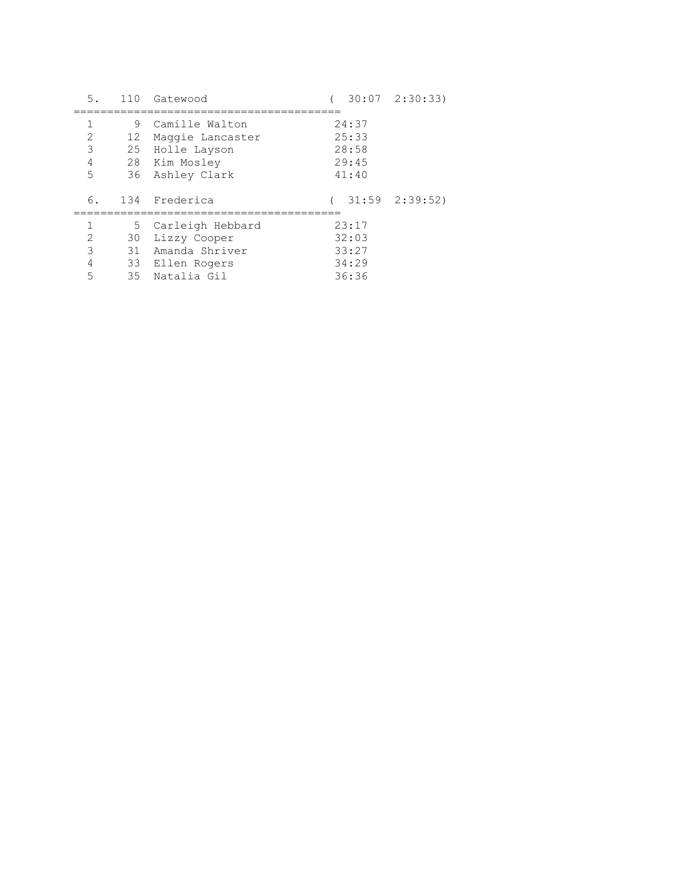| 5.                                                                                                                                                                                       | 110           | Gatewood                                                                                  | $30:07$ $2:30:33$                         |  |
|------------------------------------------------------------------------------------------------------------------------------------------------------------------------------------------|---------------|-------------------------------------------------------------------------------------------|-------------------------------------------|--|
| 2<br>3<br>4<br>5                                                                                                                                                                         | 9<br>12<br>25 | Camille Walton<br>Maggie Lancaster<br>Holle Layson<br>28 Kim Mosley<br>36 Ashley Clark    | 24:37<br>25:33<br>28:58<br>29:45<br>41:40 |  |
| 6.                                                                                                                                                                                       |               | 134 Frederica                                                                             | $31:59$ $2:39:52$                         |  |
| 1<br>$\mathcal{D}_{\mathcal{L}}^{\mathcal{L}}(\mathcal{L}) = \mathcal{D}_{\mathcal{L}}^{\mathcal{L}}(\mathcal{L}) = \mathcal{D}_{\mathcal{L}}^{\mathcal{L}}(\mathcal{L})$<br>3<br>4<br>5 | 30<br>35      | 5 Carleigh Hebbard<br>Lizzy Cooper<br>31 Amanda Shriver<br>33 Ellen Rogers<br>Natalia Gil | 23:17<br>32:03<br>33:27<br>34:29<br>36:36 |  |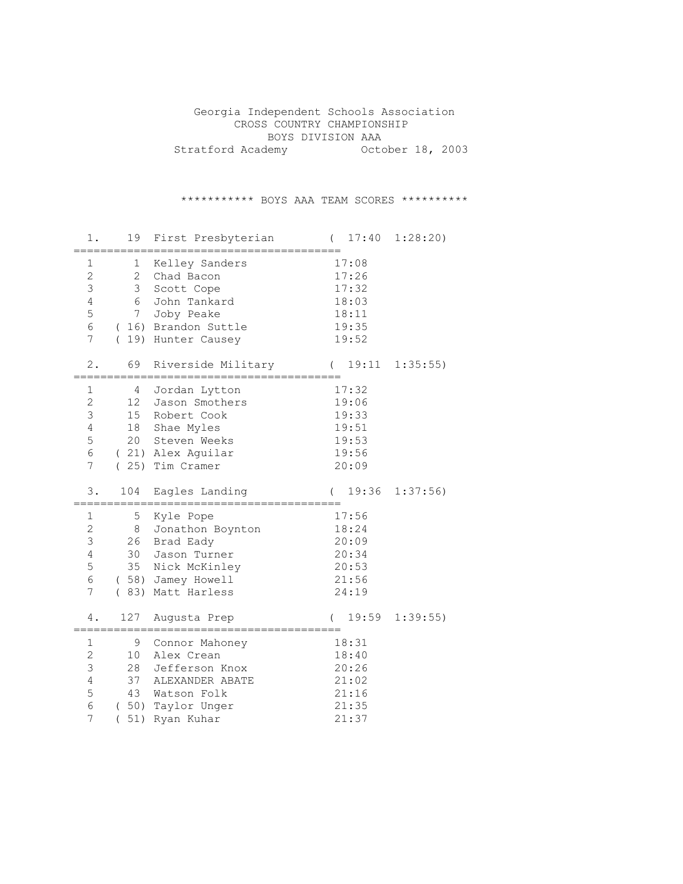Georgia Independent Schools Association CROSS COUNTRY CHAMPIONSHIP BOYS DIVISION AAA Stratford Academy October 18, 2003

\*\*\*\*\*\*\*\*\*\*\* BOYS AAA TEAM SCORES \*\*\*\*\*\*\*\*\*\*

| 1.                                                        | 19                                                                                   | First Presbyterian                                                                                              | 17:40<br>$\left($                                           | 1:28:20     |
|-----------------------------------------------------------|--------------------------------------------------------------------------------------|-----------------------------------------------------------------------------------------------------------------|-------------------------------------------------------------|-------------|
| $\mathbf 1$<br>$\overline{c}$<br>3<br>4<br>5<br>6<br>7    | $\mathbf 1$<br>$\overline{2}$<br>3<br>6<br>7 <sup>7</sup><br>(16)<br>19)<br>$\left($ | Kelley Sanders<br>Chad Bacon<br>Scott Cope<br>John Tankard<br>Joby Peake<br>Brandon Suttle<br>Hunter Causey     | 17:08<br>17:26<br>17:32<br>18:03<br>18:11<br>19:35<br>19:52 |             |
| $2$ .                                                     | 69                                                                                   | Riverside Military                                                                                              | 19:11<br>$\left($                                           | 1:35:55)    |
| $1\,$<br>$\overline{2}$<br>3<br>4<br>5<br>6<br>7          | 4<br>12<br>15<br>18<br>20<br>(25)                                                    | Jordan Lytton<br>Jason Smothers<br>Robert Cook<br>Shae Myles<br>Steven Weeks<br>(21) Alex Aguilar<br>Tim Cramer | 17:32<br>19:06<br>19:33<br>19:51<br>19:53<br>19:56<br>20:09 |             |
|                                                           |                                                                                      |                                                                                                                 |                                                             |             |
| 3.                                                        | 104                                                                                  | Eagles Landing                                                                                                  | 19:36                                                       | 1:37:56     |
| 1<br>$\overline{c}$<br>3<br>$\overline{4}$<br>5<br>6<br>7 | 5<br>8<br>26<br>30<br>35<br>(58)<br>(83)                                             | Kyle Pope<br>Jonathon Boynton<br>Brad Eady<br>Jason Turner<br>Nick McKinley<br>Jamey Howell<br>Matt Harless     | 17:56<br>18:24<br>20:09<br>20:34<br>20:53<br>21:56<br>24:19 |             |
| 4.                                                        | 127                                                                                  | Augusta Prep                                                                                                    | 19:59<br>$\left($                                           | $1:39:55$ ) |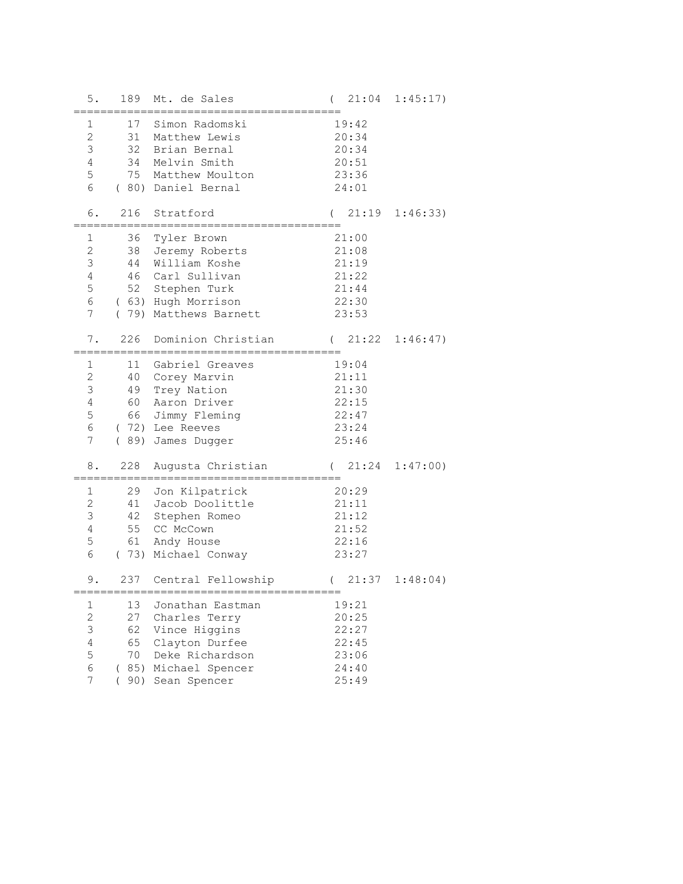| 5.                                                                            | 189                                        | Mt. de Sales                                                                                                                      | $\left($                                                    | $21:04$ $1:45:17$ ) |
|-------------------------------------------------------------------------------|--------------------------------------------|-----------------------------------------------------------------------------------------------------------------------------------|-------------------------------------------------------------|---------------------|
| $\mathbf 1$<br>$\mathbf{2}$<br>$\mathfrak{Z}$<br>4<br>5<br>6                  | 34<br>75                                   | 17 Simon Radomski<br>31 Matthew Lewis<br>32 Brian Bernal<br>Melvin Smith<br>Matthew Moulton<br>(80) Daniel Bernal                 | 19:42<br>20:34<br>20:34<br>20:51<br>23:36<br>24:01          |                     |
| 6.                                                                            | 216                                        | Stratford                                                                                                                         |                                                             | $21:19$ $1:46:33$   |
| 1<br>$\mathbf{2}$<br>3<br>4<br>5<br>6<br>$7\phantom{.}$                       | 36<br>38<br>44<br>52                       | Tyler Brown<br>Jeremy Roberts<br>William Koshe<br>46 Carl Sullivan<br>Stephen Turk<br>(63) Hugh Morrison<br>(79) Matthews Barnett | 21:00<br>21:08<br>21:19<br>21:22<br>21:44<br>22:30<br>23:53 |                     |
| 7.                                                                            | 226                                        | Dominion Christian                                                                                                                | $(21:22 \quad 1:46:47)$                                     |                     |
| 1<br>2<br>$\mathsf 3$<br>$\overline{4}$<br>5<br>6<br>$\overline{7}$           | 49<br>60<br>66<br>(89)                     | 11 Gabriel Greaves<br>40 Corey Marvin<br>Trey Nation<br>Aaron Driver<br>Jimmy Fleming<br>(72) Lee Reeves<br>James Dugger          | 19:04<br>21:11<br>21:30<br>22:15<br>22:47<br>23:24<br>25:46 |                     |
| 8.                                                                            | 228                                        | Augusta Christian                                                                                                                 | $\left($                                                    | $21:24$ $1:47:00$   |
| 1<br>$\mathbf{2}$<br>$\mathsf 3$<br>$\overline{4}$<br>5<br>6                  | 29<br>41<br>42<br>55<br>61                 | Jon Kilpatrick<br>Jacob Doolittle<br>Stephen Romeo<br>CC McCown<br>Andy House<br>(73) Michael Conway                              | 20:29<br>21:11<br>21:12<br>21:52<br>22:16<br>23:27          |                     |
| $9$ .                                                                         |                                            | 237 Central Fellowship                                                                                                            | $(21:37 \quad 1:48:04)$                                     |                     |
| 1<br>$\mathbf{2}$<br>$\mathfrak{Z}$<br>$\overline{4}$<br>5<br>$\epsilon$<br>7 | 13<br>27<br>62<br>65<br>70<br>(85)<br>(90) | Jonathan Eastman<br>Charles Terry<br>Vince Higgins<br>Clayton Durfee<br>Deke Richardson<br>Michael Spencer<br>Sean Spencer        | 19:21<br>20:25<br>22:27<br>22:45<br>23:06<br>24:40<br>25:49 |                     |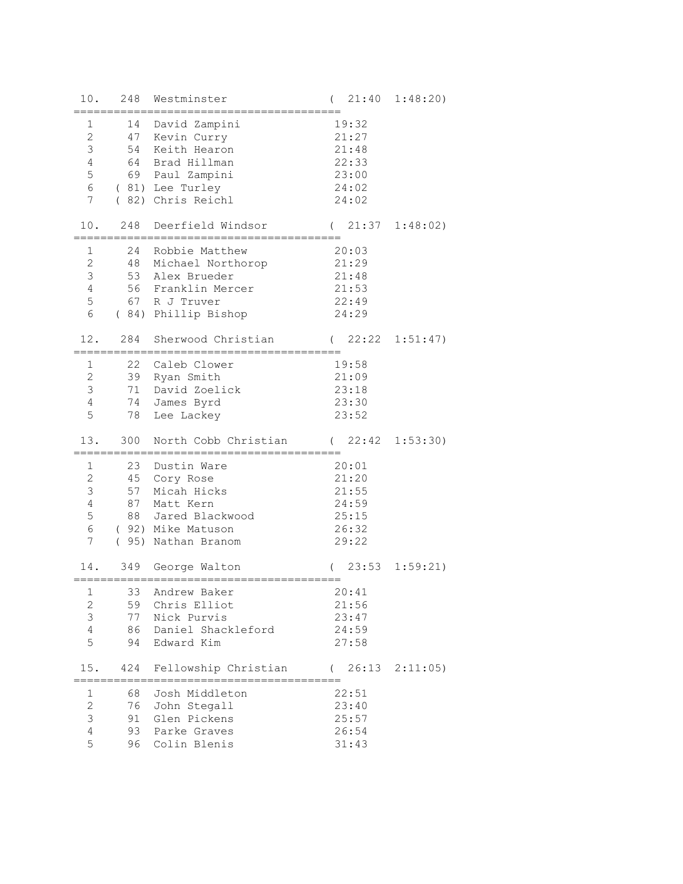| 10.             | 248                  | Westminster                                   | $\left($            | $21:40$ $1:48:20$   |
|-----------------|----------------------|-----------------------------------------------|---------------------|---------------------|
| $\mathbf{1}$    |                      | 14 David Zampini                              | 19:32               |                     |
| $\mathbf{2}$    |                      | 47 Kevin Curry                                | 21:27               |                     |
| $\mathfrak{Z}$  |                      | 54 Keith Hearon                               | 21:48               |                     |
| 4               | 64                   | Brad Hillman                                  | 22:33               |                     |
| 5               |                      | 69 Paul Zampini                               | 23:00               |                     |
| $6\,$           |                      | (81) Lee Turley                               | 24:02               |                     |
| $7\phantom{.0}$ |                      | ( 82) Chris Reichl                            | 24:02               |                     |
|                 |                      |                                               |                     |                     |
| 10.             | 248                  | Deerfield Windsor                             | $\left($            | $21:37$ $1:48:02$ ) |
| 1               | ==============<br>24 | ===========================<br>Robbie Matthew | 20:03               |                     |
| $\overline{c}$  |                      | 48 Michael Northorop                          | 21:29               |                     |
| $\mathfrak{Z}$  |                      | 53 Alex Brueder                               | 21:48               |                     |
| $\overline{4}$  |                      | 56 Franklin Mercer                            | 21:53               |                     |
| 5               |                      | 67 R J Truver                                 | 22:49               |                     |
| $6\,$           |                      | ( 84) Phillip Bishop                          | 24:29               |                     |
|                 |                      |                                               |                     |                     |
|                 | 12. 284              | Sherwood Christian<br>=========               | $(22:22 \t1:51:47)$ |                     |
| $\mathbf{1}$    |                      | 22 Caleb Clower                               | 19:58               |                     |
| $\mathbf{2}$    |                      | 39 Ryan Smith                                 | 21:09               |                     |
| $\mathfrak{Z}$  | 71                   | David Zoelick                                 | 23:18               |                     |
| $\overline{4}$  | 74                   | James Byrd                                    | 23:30               |                     |
| 5               | 78                   | Lee Lackey                                    | 23:52               |                     |
| 13.             | 300                  | North Cobb Christian (22:42 1:53:30)          |                     |                     |
|                 |                      |                                               |                     |                     |
| $\mathbf 1$     |                      | 23 Dustin Ware                                | 20:01               |                     |
| $\mathbf{2}$    |                      | 45 Cory Rose                                  | 21:20               |                     |
| $\mathfrak{Z}$  |                      | 57 Micah Hicks                                | 21:55               |                     |
| 4               | 87                   | Matt Kern                                     | 24:59               |                     |
| 5               |                      | 88 Jared Blackwood                            | 25:15               |                     |
| $6\,$           |                      | (92) Mike Matuson                             | 26:32               |                     |
| $7\phantom{.0}$ |                      | ( 95) Nathan Branom                           | 29:22               |                     |
| 14.             |                      | 349 George Walton                             | $(23:53 \t1:59:21)$ |                     |
| $1 \quad \Box$  |                      | 33 Andrew Baker                               | 20:41               |                     |
| 2               |                      | 59 Chris Elliot                               | 21:56               |                     |
| 3               |                      | 77 Nick Purvis                                | 23:47               |                     |
| $\overline{4}$  |                      | 86 Daniel Shackleford                         | 24:59               |                     |
| 5               | 94                   | Edward Kim                                    | 27:58               |                     |
|                 |                      |                                               |                     |                     |
|                 |                      | 15. 424 Fellowship Christian (26:13 2:11:05)  |                     |                     |
| 1               |                      | 68 Josh Middleton                             | 22:51               |                     |
| $\overline{c}$  |                      | 76 John Stegall                               | 23:40               |                     |
| 3               |                      | 91 Glen Pickens                               | 25:57               |                     |
| 4               |                      | 93 Parke Graves                               | 26:54               |                     |
| 5               |                      | 96 Colin Blenis                               | 31:43               |                     |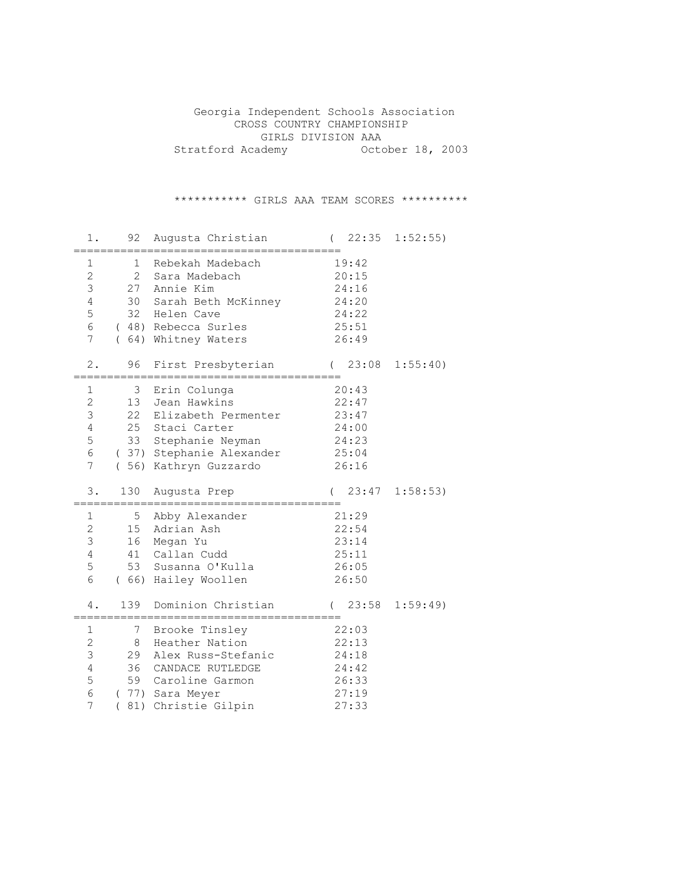Georgia Independent Schools Association CROSS COUNTRY CHAMPIONSHIP GIRLS DIVISION AAA Stratford Academy October 18, 2003

\*\*\*\*\*\*\*\*\*\*\* GIRLS AAA TEAM SCORES \*\*\*\*\*\*\*\*\*\*

| 1.                                                                              | 92                                     | Augusta Christian                                                                                                                             |         | $\left($ |                                                             | $22:35$ $1:52:55$ ) |
|---------------------------------------------------------------------------------|----------------------------------------|-----------------------------------------------------------------------------------------------------------------------------------------------|---------|----------|-------------------------------------------------------------|---------------------|
| $\mathbf 1$<br>$\overline{c}$<br>3<br>$\overline{4}$<br>5<br>6<br>7             | 1<br>$\overline{2}$<br>27<br>30<br>32  | Rebekah Madebach<br>Sara Madebach<br>Annie Kim<br>Sarah Beth McKinney<br>Helen Cave<br>(48) Rebecca Surles<br>(64) Whitney Waters             |         |          | 19:42<br>20:15<br>24:16<br>24:20<br>24:22<br>25:51<br>26:49 |                     |
| $2$ .                                                                           | 96                                     | First Presbyterian                                                                                                                            | (23:08) |          |                                                             | 1:55:40)            |
| $\mathbf 1$<br>$\mathbf{2}$<br>3<br>4<br>5<br>6<br>7                            | $\mathcal{S}$<br>13<br>22<br>25<br>33  | Erin Colunga<br>Jean Hawkins<br>Elizabeth Permenter<br>Staci Carter<br>Stephanie Neyman<br>(37) Stephanie Alexander<br>( 56) Kathryn Guzzardo | 25:04   |          | 20:43<br>22:47<br>23:47<br>24:00<br>24:23<br>26:16          |                     |
| 3.                                                                              | 130                                    | Augusta Prep                                                                                                                                  |         |          | (23:47)                                                     | 1:58:53)            |
| 1<br>$\overline{2}$<br>3<br>4<br>5<br>6                                         | 5 <sub>1</sub><br>15<br>16<br>41<br>53 | Abby Alexander<br>Adrian Ash<br>Megan Yu<br>Callan Cudd<br>Susanna O'Kulla<br>(66) Hailey Woollen                                             | 21:29   |          | 22:54<br>23:14<br>25:11<br>26:05<br>26:50                   |                     |
| 4.                                                                              | 139                                    | Dominion Christian                                                                                                                            |         | $\left($ | 23:58                                                       | 1:59:49             |
| $\mathbf 1$<br>$\overline{2}$<br>3<br>$\overline{4}$<br>5<br>6<br>7<br>$\left($ | $7\phantom{.0}$<br>8<br>29<br>36<br>59 | Brooke Tinsley<br>Heather Nation<br>Alex Russ-Stefanic<br>CANDACE RUTLEDGE<br>Caroline Garmon<br>(77) Sara Meyer<br>81) Christie Gilpin       |         |          | 22:03<br>22:13<br>24:18<br>24:42<br>26:33<br>27:19<br>27:33 |                     |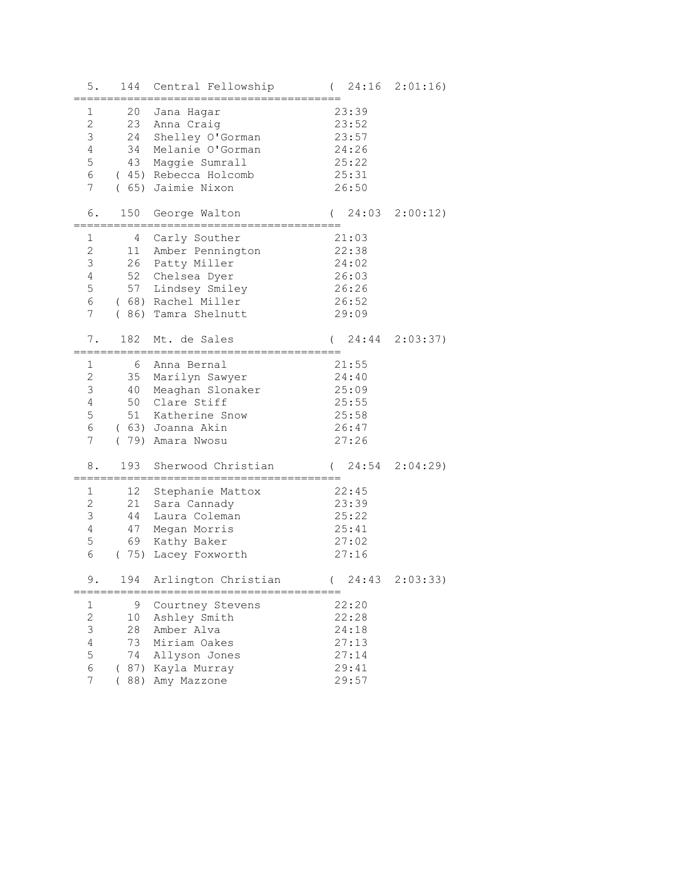| 5.             | 144  | Central Fellowship      | $\left($          | $24:16$ $2:01:16$ |
|----------------|------|-------------------------|-------------------|-------------------|
| 1              | 20   | Jana Hagar              | 23:39             |                   |
| 2              | 23   | Anna Craig              | 23:52             |                   |
| 3              | 24   | Shelley O'Gorman        | 23:57             |                   |
| 4              | 34   | Melanie O'Gorman        | 24:26             |                   |
| 5              | 43   | Maggie Sumrall          | 25:22             |                   |
| 6              | (45) | Rebecca Holcomb         | 25:31             |                   |
| 7              | (65) | Jaimie Nixon            | 26:50             |                   |
| 6.             | 150  | George Walton           | 24:03<br>$\left($ | 2:00:12           |
|                |      |                         |                   |                   |
| 1              | 4    | Carly Souther           | 21:03             |                   |
| $\mathbf{2}$   | 11   | Amber Pennington        | 22:38             |                   |
| 3              | 26   | Patty Miller            | 24:02             |                   |
| 4              | 52   | Chelsea Dyer            | 26:03             |                   |
| 5              | 57   | Lindsey Smiley          | 26:26             |                   |
| 6              |      | (68) Rachel Miller      | 26:52             |                   |
| 7              | (86) | Tamra Shelnutt          | 29:09             |                   |
| 7.             | 182  | Mt. de Sales            | 24:44<br>$\left($ | 2:03:37           |
|                |      |                         |                   |                   |
| $\mathbf 1$    | 6    | Anna Bernal             | 21:55             |                   |
| $\mathbf{2}$   | 35   | Marilyn Sawyer          | 24:40             |                   |
| 3              | 40   | Meaghan Slonaker        | 25:09             |                   |
| $\overline{4}$ | 50   | Clare Stiff             | 25:55             |                   |
| 5              | 51   | Katherine Snow          | 25:58             |                   |
| 6              |      | (63) Joanna Akin        | 26:47             |                   |
| $\overline{7}$ |      | (79) Amara Nwosu        | 27:26             |                   |
| 8.             | 193  | Sherwood Christian      | $\left($          | 24:54 2:04:29)    |
| 1              | 12   | Stephanie Mattox        | 22:45             |                   |
| $\mathbf{2}$   | 21   | Sara Cannady            | 23:39             |                   |
| 3              | 44   | Laura Coleman           | 25:22             |                   |
| 4              | 47   | Megan Morris            | 25:41             |                   |
| 5              | 69   | Kathy Baker             | 27:02             |                   |
| 6              | (75) | Lacey Foxworth          | 27:16             |                   |
| 9              |      | 194 Arlington Christian | (24:43)           | 2:03:33)          |
|                |      | ==================      |                   |                   |
| 1              | 9    | Courtney Stevens        | 22:20             |                   |
| $\mathbf{2}$   | 10   | Ashley Smith            | 22:28             |                   |
| 3              | 28   | Amber Alva              | 24:18             |                   |
| $\overline{4}$ | 73   | Miriam Oakes            | 27:13             |                   |
| 5              | 74   | Allyson Jones           | 27:14             |                   |
| 6              |      | ( 87) Kayla Murray      | 29:41             |                   |
| 7              |      | 88) Amy Mazzone         | 29:57             |                   |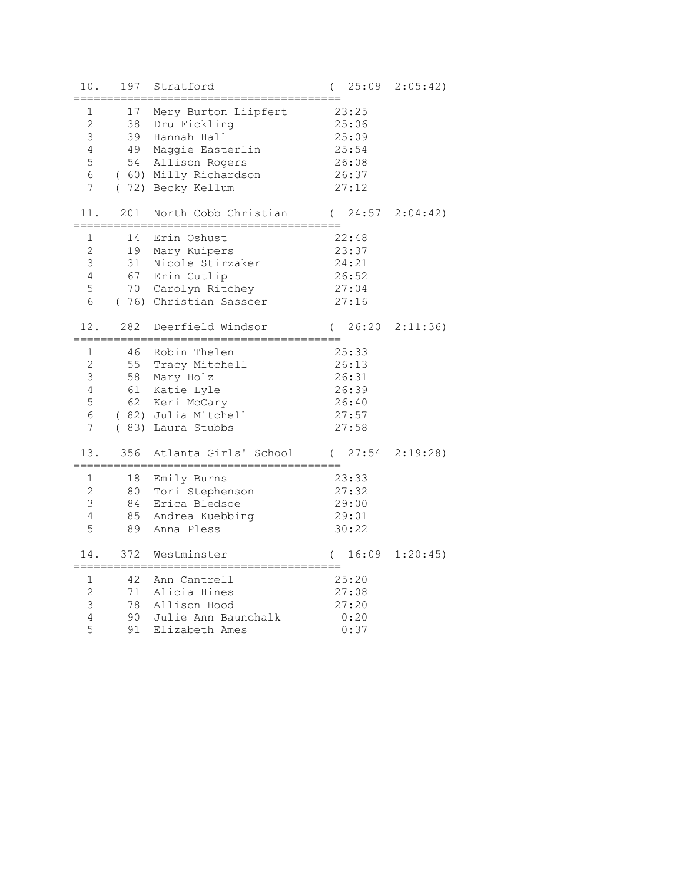| $10.$                                                                   | 197                        | Stratford                                                                                                                                  | 25:09<br>$\left($                                           | 2:05:42)          |
|-------------------------------------------------------------------------|----------------------------|--------------------------------------------------------------------------------------------------------------------------------------------|-------------------------------------------------------------|-------------------|
| 1<br>$\overline{2}$<br>3<br>$\overline{4}$<br>5<br>6<br>$7\overline{ }$ | 17<br>38<br>49<br>54       | Mery Burton Liipfert<br>Dru Fickling<br>39 Hannah Hall<br>Maggie Easterlin<br>Allison Rogers<br>(60) Milly Richardson<br>(72) Becky Kellum | 23:25<br>25:06<br>25:09<br>25:54<br>26:08<br>26:37<br>27:12 |                   |
| 11.                                                                     | 201                        | North Cobb Christian                                                                                                                       | 24:57<br>$\left($                                           | 2:04:42)          |
| 1<br>$\overline{c}$<br>3<br>$\overline{4}$<br>5<br>6                    | 14<br>19<br>31             | Erin Oshust<br>Mary Kuipers<br>Nicole Stirzaker<br>67 Erin Cutlip<br>70 Carolyn Ritchey<br>(76) Christian Sasscer                          | 22:48<br>23:37<br>24:21<br>26:52<br>27:04<br>27:16          |                   |
| 12.                                                                     | 282                        | Deerfield Windsor                                                                                                                          | $\left($                                                    | $26:20$ $2:11:36$ |
| 1<br>$\mathbf{2}$<br>3<br>$\overline{4}$<br>5<br>6<br>7                 | 46<br>55<br>58<br>61<br>62 | Robin Thelen<br>Tracy Mitchell<br>Mary Holz<br>Katie Lyle<br>Keri McCary<br>(82) Julia Mitchell<br>(83) Laura Stubbs                       | 25:33<br>26:13<br>26:31<br>26:39<br>26:40<br>27:57<br>27:58 |                   |
| 13.                                                                     | 356                        | Atlanta Girls' School                                                                                                                      | 27:54<br>$\left($                                           | 2:19:28           |
| 1<br>$\overline{2}$<br>3<br>$\overline{4}$<br>5                         | 18<br>80<br>84<br>85<br>89 | =================================<br>Emily Burns<br>Tori Stephenson<br>Erica Bledsoe<br>Andrea Kuebbing<br>Anna Pless                      | 23:33<br>27:32<br>29:00<br>29:01<br>30:22                   |                   |
| 14.                                                                     | 372                        | Westminster                                                                                                                                | 16:09<br>$\left($                                           | 1:20:45           |
| 1<br>$\overline{c}$<br>$\mathfrak{Z}$<br>$\overline{4}$<br>5            | 42<br>71<br>78<br>90<br>91 | Ann Cantrell<br>Alicia Hines<br>Allison Hood<br>Julie Ann Baunchalk<br>Elizabeth Ames                                                      | 25:20<br>27:08<br>27:20<br>0:20<br>0:37                     |                   |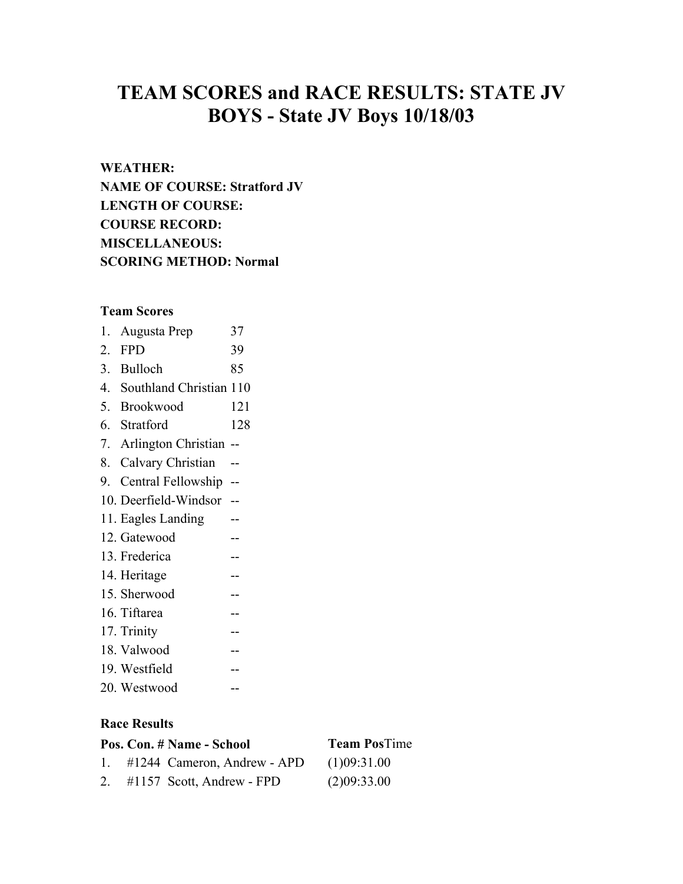# **TEAM SCORES and RACE RESULTS: STATE JV BOYS - State JV Boys 10/18/03**

# **WEATHER:**

**NAME OF COURSE: Stratford JV LENGTH OF COURSE: COURSE RECORD: MISCELLANEOUS: SCORING METHOD: Normal** 

**Team Scores**  1. Augusta Prep 37 2. FPD 39 3. Bulloch 85 4. Southland Christian 110 5. Brookwood 121 6. Stratford 128 7. Arlington Christian -- 8. Calvary Christian -- 9. Central Fellowship -- 10. Deerfield-Windsor -- 11. Eagles Landing -- 12. Gatewood -- 13. Frederica -- 14. Heritage --15. Sherwood -- 16. Tiftarea -- 17. Trinity -- 18. Valwood -- 19. Westfield -- 20. Westwood --

## **Race Results**

|  | Pos. Con. # Name - School      | <b>Team PosTime</b> |
|--|--------------------------------|---------------------|
|  | 1. #1244 Cameron, Andrew - APD | (1)09:31.00         |
|  | 2. #1157 Scott, Andrew - FPD   | (2)09:33.00         |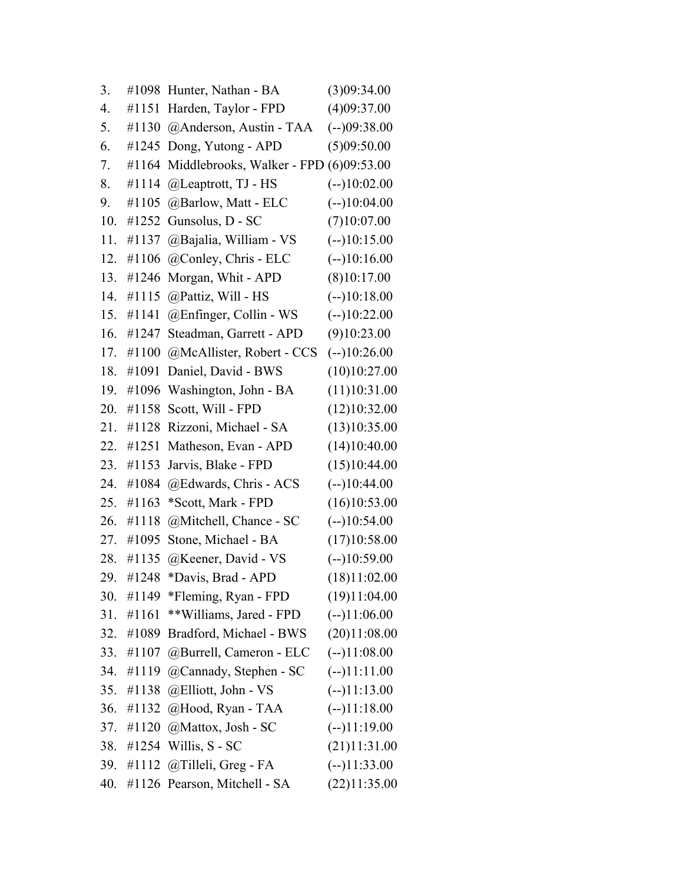| 3.  |       | #1098 Hunter, Nathan - BA    | (3)09:34.00    |
|-----|-------|------------------------------|----------------|
| 4.  | #1151 | Harden, Taylor - FPD         | (4)09:37.00    |
| 5.  | #1130 | @Anderson, Austin - TAA      | $(-109:38.00)$ |
| 6.  | #1245 | Dong, Yutong - APD           | (5)09:50.00    |
| 7.  | #1164 | Middlebrooks, Walker - FPD   | (6)09:53.00    |
| 8.  | #1114 | @Leaptrott, TJ - HS          | $(-10:02.00)$  |
| 9.  | #1105 | @Barlow, Matt - ELC          | $(-10:04.00)$  |
| 10. | #1252 | Gunsolus, D - SC             | (7)10:07.00    |
| 11. | #1137 | @Bajalia, William - VS       | $(-10:15.00)$  |
| 12. | #1106 | @Conley, Chris - ELC         | $(-10:16.00)$  |
| 13. | #1246 | Morgan, Whit - APD           | (8)10:17.00    |
| 14. | #1115 | @Pattiz, Will - HS           | $(-10:18.00)$  |
| 15. | #1141 | $@$ Enfinger, Collin - WS    | $(-10:22.00)$  |
| 16. | #1247 | Steadman, Garrett - APD      | (9)10:23.00    |
| 17. | #1100 | @McAllister, Robert - CCS    | $(-10:26.00)$  |
| 18. | #1091 | Daniel, David - BWS          | (10)10:27.00   |
| 19. | #1096 | Washington, John - BA        | (11)10:31.00   |
| 20. | #1158 | Scott, Will - FPD            | (12)10:32.00   |
| 21. | #1128 | Rizzoni, Michael - SA        | (13)10:35.00   |
| 22. | #1251 | Matheson, Evan - APD         | (14)10:40.00   |
| 23. | #1153 | Jarvis, Blake - FPD          | (15)10:44.00   |
| 24. | #1084 | @Edwards, Chris - ACS        | $(-)10:44.00$  |
| 25. | #1163 | *Scott, Mark - FPD           | (16)10:53.00   |
| 26. | #1118 | @Mitchell, Chance - SC       | $(-10:54.00)$  |
| 27. | #1095 | Stone, Michael - BA          | (17)10:58.00   |
| 28. | #1135 | @Keener, David - VS          | $(-10:59.00)$  |
| 29. | #1248 | *Davis, Brad - APD           | (18)11:02.00   |
| 30. |       | #1149 *Fleming, Ryan - FPD   | (19)11:04.00   |
| 31. | #1161 | **Williams, Jared - FPD      | $(-11:06.00)$  |
| 32. | #1089 | Bradford, Michael - BWS      | (20)11:08.00   |
| 33. | #1107 | @Burrell, Cameron - ELC      | $(-11:08.00)$  |
| 34. | #1119 | @Cannady, Stephen - SC       | $(-)11:11.00$  |
| 35. | #1138 | @Elliott, John - VS          | $(-1)11:13.00$ |
| 36. | #1132 | @Hood, Ryan - TAA            | $(-11:18.00)$  |
| 37. | #1120 | @Mattox, Josh - SC           | $(-)11:19.00$  |
| 38. | #1254 | Willis, S - SC               | (21)11:31.00   |
| 39. |       | #1112 @Tilleli, Greg - FA    | $(-)11:33.00$  |
| 40. |       | #1126 Pearson, Mitchell - SA | (22)11:35.00   |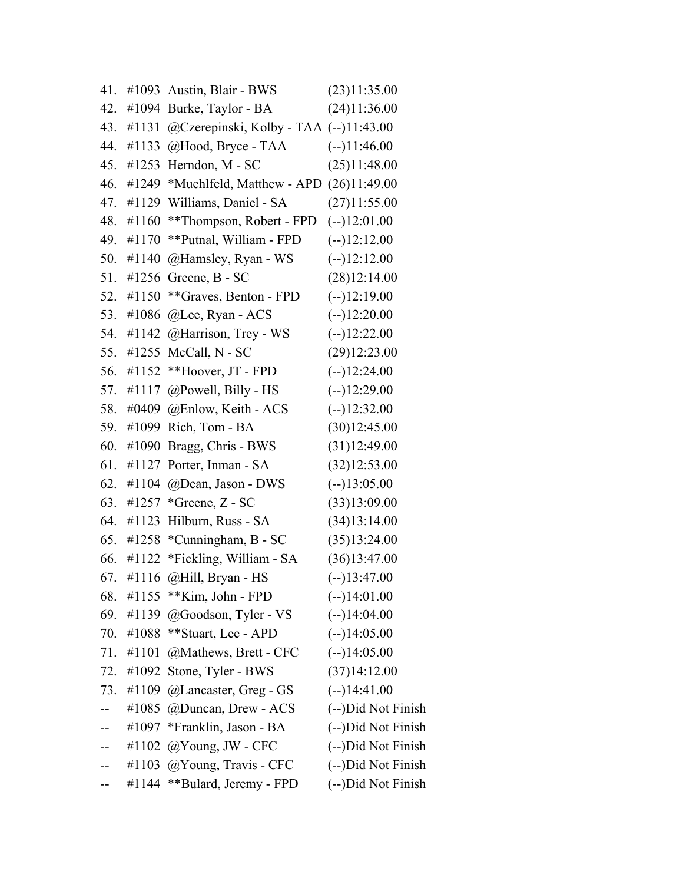| 41. |           | $\#1093$ Austin, Blair - BWS                   | (23)11:35.00       |
|-----|-----------|------------------------------------------------|--------------------|
| 42. |           | $\#1094$ Burke, Taylor - BA                    | (24)11:36.00       |
| 43. | #1131     | @Czerepinski, Kolby - TAA (--)11:43.00         |                    |
| 44. | #1133     | @Hood, Bryce - TAA                             | $(-1)11:46.00$     |
| 45. |           | #1253 Herndon, $M - SC$                        | (25)11:48.00       |
| 46. |           | #1249 *Muehlfeld, Matthew - APD $(26)11:49.00$ |                    |
| 47. |           | #1129 Williams, Daniel - SA                    | (27)11:55.00       |
| 48. | #1160     | **Thompson, Robert - FPD                       | $(-12:01.00)$      |
|     | 49. #1170 | **Putnal, William - FPD                        | $(-12:12.00)$      |
| 50. | #1140     | @Hamsley, Ryan - WS                            | $(-12:12.00)$      |
|     |           | 51. #1256 Greene, B - SC                       | (28)12:14.00       |
|     | 52. #1150 | **Graves, Benton - FPD                         | $(-12:19.00)$      |
| 53. |           | #1086 @Lee, Ryan - $ACS$                       | $(-12:20.00)$      |
|     |           | 54. #1142 @Harrison, Trey - WS                 | $(-12:22.00)$      |
| 55. |           | #1255 McCall, $N - SC$                         | (29)12:23.00       |
| 56. | #1152     | **Hoover, JT - FPD                             | $(-)12:24.00$      |
|     | 57. #1117 | $@$ Powell, Billy - HS                         | $(-12:29.00)$      |
| 58. |           | #0409 @Enlow, Keith - ACS                      | $(-12:32.00)$      |
| 59. | #1099     | Rich, Tom - BA                                 | (30)12:45.00       |
| 60. | #1090     | Bragg, Chris - BWS                             | (31)12:49.00       |
| 61. |           | #1127 Porter, Inman - SA                       | (32)12:53.00       |
| 62. |           | #1104 @Dean, Jason - DWS                       | $(-13:05.00)$      |
| 63. |           | #1257 *Greene, $Z - SC$                        | (33)13:09.00       |
|     |           | 64. #1123 Hilburn, Russ - SA                   | (34)13:14.00       |
| 65. | #1258     | *Cunningham, B - SC                            | (35)13:24.00       |
| 66. |           | #1122 *Fickling, William - SA                  | (36)13:47.00       |
| 67. |           | #1116 @Hill, Bryan - HS                        | $(-)13:47.00$      |
| 68. | #1155     | **Kim, John - FPD                              | $(-1)14:01.00$     |
| 69. | #1139     | @Goodson, Tyler - VS                           | $(-1)14:04.00$     |
| 70. | #1088     | **Stuart, Lee - APD                            | $(-1)14:05.00$     |
| 71. | #1101     | @Mathews, Brett - CFC                          | $(-114:05.00)$     |
| 72. | #1092     | Stone, Tyler - BWS                             | (37)14:12.00       |
| 73. | #1109     | @Lancaster, Greg - GS                          | $(-1)14:41.00$     |
|     | #1085     | @Duncan, Drew - ACS                            | (--)Did Not Finish |
|     | #1097     | *Franklin, Jason - BA                          | (--)Did Not Finish |
|     | #1102     | $@$ Young, JW - CFC                            | (--)Did Not Finish |
|     | #1103     | @Young, Travis - CFC                           | (--)Did Not Finish |
|     | #1144     | **Bulard, Jeremy - FPD                         | (--)Did Not Finish |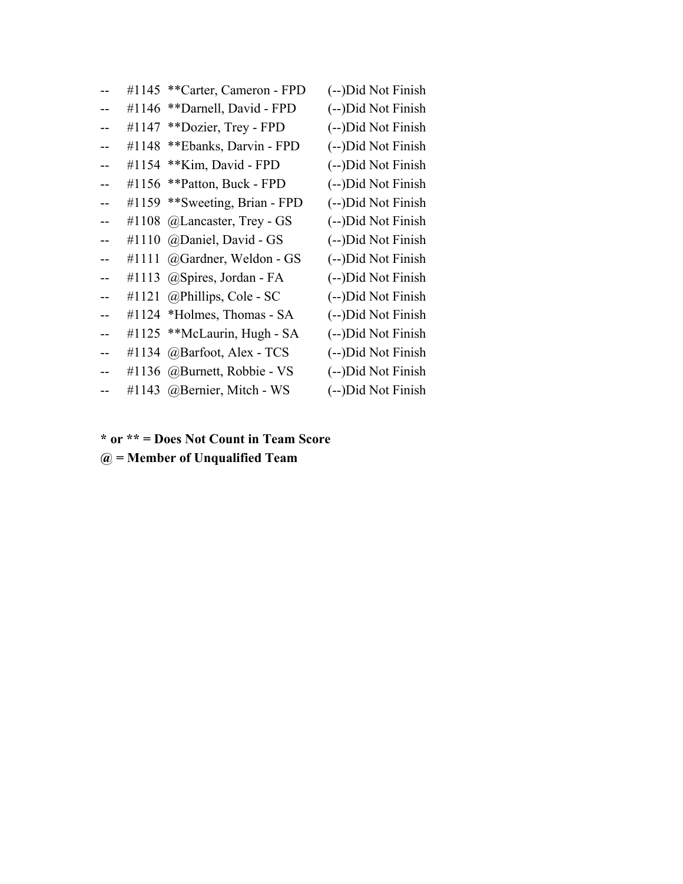|     | #1145 | **Carter, Cameron - FPD     | (--)Did Not Finish |
|-----|-------|-----------------------------|--------------------|
|     | #1146 | **Darnell, David - FPD      | (--)Did Not Finish |
|     | #1147 | **Dozier, Trey - FPD        | (--)Did Not Finish |
|     | #1148 | **Ebanks, Darvin - FPD      | (--)Did Not Finish |
|     | #1154 | ** Kim, David - FPD         | (--)Did Not Finish |
|     | #1156 | **Patton, Buck - FPD        | (--)Did Not Finish |
|     | #1159 | **Sweeting, Brian - FPD     | (--)Did Not Finish |
|     | #1108 | @Lancaster, Trey - GS       | (--)Did Not Finish |
|     | #1110 | @Daniel, David - GS         | (--)Did Not Finish |
| $-$ | #1111 | @Gardner, Weldon - GS       | (--)Did Not Finish |
|     | #1113 | @Spires, Jordan - FA        | (--)Did Not Finish |
|     | #1121 | @Phillips, Cole - SC        | (--)Did Not Finish |
|     |       | #1124 *Holmes, Thomas - SA  | (--)Did Not Finish |
|     | #1125 | **McLaurin, Hugh - SA       | (--)Did Not Finish |
|     | #1134 | @Barfoot, Alex - TCS        | (--)Did Not Finish |
|     |       | #1136 @Burnett, Robbie - VS | (--)Did Not Finish |
|     |       | #1143 @Bernier, Mitch - WS  | (--)Did Not Finish |

**\* or \*\* = Does Not Count in Team Score**

**@ = Member of Unqualified Team**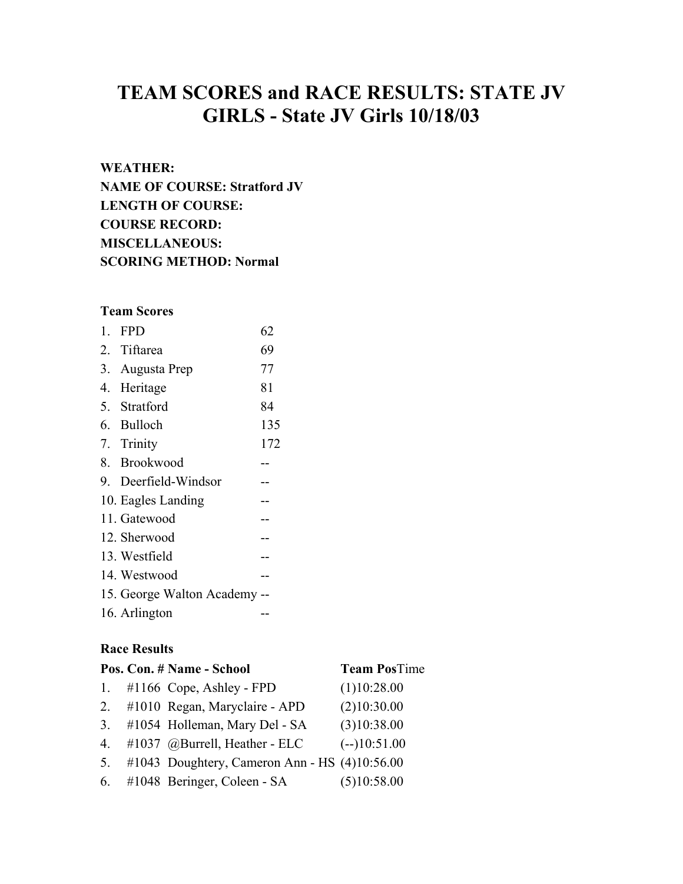# **TEAM SCORES and RACE RESULTS: STATE JV GIRLS - State JV Girls 10/18/03**

# **WEATHER:**

**NAME OF COURSE: Stratford JV LENGTH OF COURSE: COURSE RECORD: MISCELLANEOUS: SCORING METHOD: Normal** 

# **Team Scores**

| 1. | <b>FPD</b>                   | 62  |
|----|------------------------------|-----|
|    | 2. Tiftarea                  | 69  |
|    | 3. Augusta Prep              | 77  |
|    | 4. Heritage                  | 81  |
|    | 5. Stratford                 | 84  |
|    | 6. Bulloch                   | 135 |
|    | 7. Trinity                   | 172 |
|    | 8. Brookwood                 |     |
|    | 9. Deerfield-Windsor         |     |
|    | 10. Eagles Landing           |     |
|    | 11. Gatewood                 |     |
|    | 12. Sherwood                 |     |
|    | 13. Westfield                |     |
|    | 14. Westwood                 |     |
|    | 15. George Walton Academy -- |     |
|    | 16. Arlington                |     |

# **Race Results**

|                | Pos. Con. # Name - School                       | <b>Team PosTime</b> |
|----------------|-------------------------------------------------|---------------------|
| 1.             | $\#1166$ Cope, Ashley - FPD                     | (1)10:28.00         |
| 2.             | #1010 Regan, Maryclaire - APD                   | (2)10:30.00         |
| 3.             | #1054 Holleman, Mary Del - SA                   | (3)10:38.00         |
| 4.             | #1037 @Burrell, Heather - ELC                   | $(-10:51.00)$       |
| 5 <sub>1</sub> | #1043 Doughtery, Cameron Ann - HS $(4)10:56.00$ |                     |
|                | 6. #1048 Beringer, Coleen - SA                  | (5)10:58.00         |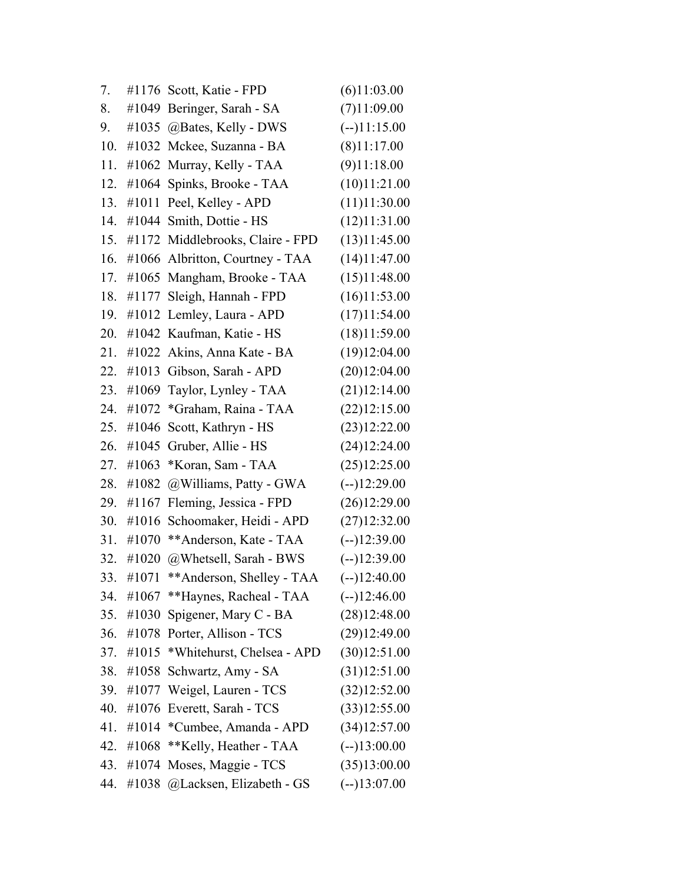| 7.  |       | #1176 Scott, Katie - FPD         | (6)11:03.00   |
|-----|-------|----------------------------------|---------------|
| 8.  |       | #1049 Beringer, Sarah - SA       | (7)11:09.00   |
| 9.  |       | #1035 @Bates, Kelly - DWS        | $(-11:15.00)$ |
| 10. |       | #1032 Mckee, Suzanna - BA        | (8)11:17.00   |
| 11. | #1062 | Murray, Kelly - TAA              | (9)11:18.00   |
| 12. |       | #1064 Spinks, Brooke - TAA       | (10)11:21.00  |
| 13. | #1011 | Peel, Kelley - APD               | (11)11:30.00  |
| 14. |       | #1044 Smith, Dottie - HS         | (12)11:31.00  |
| 15. |       | #1172 Middlebrooks, Claire - FPD | (13)11:45.00  |
| 16. | #1066 | Albritton, Courtney - TAA        | (14)11:47.00  |
| 17. |       | #1065 Mangham, Brooke - TAA      | (15)11:48.00  |
| 18. |       | #1177 Sleigh, Hannah - FPD       | (16)11:53.00  |
| 19. |       | #1012 Lemley, Laura - APD        | (17)11:54.00  |
| 20. |       | #1042 Kaufman, Katie - HS        | (18)11:59.00  |
| 21. | #1022 | Akins, Anna Kate - BA            | (19)12:04.00  |
| 22. |       | #1013 Gibson, Sarah - APD        | (20)12:04.00  |
| 23. |       | #1069 Taylor, Lynley - TAA       | (21)12:14.00  |
| 24. |       | #1072 *Graham, Raina - TAA       | (22)12:15.00  |
| 25. | #1046 | Scott, Kathryn - HS              | (23)12:22.00  |
| 26. | #1045 | Gruber, Allie - HS               | (24)12:24.00  |
| 27. | #1063 | *Koran, Sam - TAA                | (25)12:25.00  |
| 28. | #1082 | @Williams, Patty - GWA           | $(-)12:29.00$ |
| 29. | #1167 | Fleming, Jessica - FPD           | (26)12:29.00  |
| 30. | #1016 | Schoomaker, Heidi - APD          | (27)12:32.00  |
| 31. | #1070 | **Anderson, Kate - TAA           | $(-)12:39.00$ |
| 32. | #1020 | @Whetsell, Sarah - BWS           | $(-12:39.00)$ |
| 33. | #1071 | ** Anderson, Shelley - TAA       | $(-)12:40.00$ |
| 34. | #1067 | **Haynes, Racheal - TAA          | $(-12:46.00)$ |
| 35. | #1030 | Spigener, Mary C - BA            | (28)12:48.00  |
| 36. | #1078 | Porter, Allison - TCS            | (29)12:49.00  |
| 37. | #1015 | *Whitehurst, Chelsea - APD       | (30)12:51.00  |
| 38. | #1058 | Schwartz, Amy - SA               | (31)12:51.00  |
| 39. | #1077 | Weigel, Lauren - TCS             | (32)12:52.00  |
| 40. | #1076 | Everett, Sarah - TCS             | (33)12:55.00  |
| 41. | #1014 | *Cumbee, Amanda - APD            | (34)12:57.00  |
| 42. | #1068 | **Kelly, Heather - TAA           | $(-13:00.00)$ |
| 43. | #1074 | Moses, Maggie - TCS              | (35)13:00.00  |
| 44. | #1038 | @Lacksen, Elizabeth - GS         | $(-13:07.00)$ |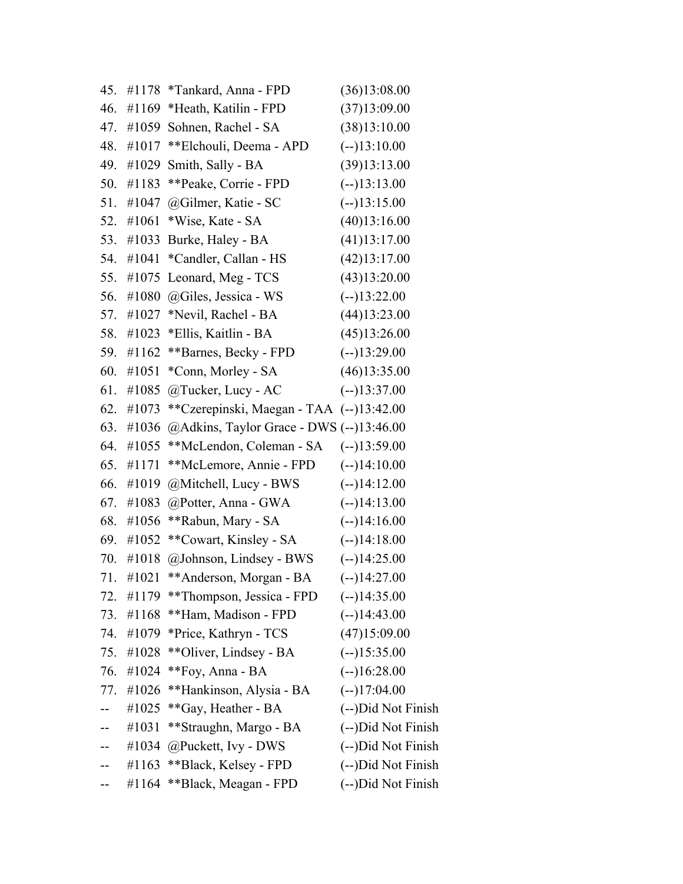| 45. | #1178 | *Tankard, Anna - FPD                      | (36)13:08.00       |
|-----|-------|-------------------------------------------|--------------------|
| 46. | #1169 | *Heath, Katilin - FPD                     | (37)13:09.00       |
| 47. | #1059 | Sohnen, Rachel - SA                       | (38)13:10.00       |
| 48. | #1017 | **Elchouli, Deema - APD                   | $(-13:10.00)$      |
| 49. | #1029 | Smith, Sally - BA                         | (39)13:13.00       |
| 50. | #1183 | **Peake, Corrie - FPD                     | $(-13:13.00)$      |
| 51. | #1047 | @Gilmer, Katie - SC                       | $(-13:15.00)$      |
| 52. | #1061 | *Wise, Kate - SA                          | (40)13:16.00       |
| 53. | #1033 | Burke, Haley - BA                         | (41)13:17.00       |
| 54. | #1041 | *Candler, Callan - HS                     | (42)13:17.00       |
| 55. | #1075 | Leonard, Meg - TCS                        | (43)13:20.00       |
| 56. | #1080 | @Giles, Jessica - WS                      | $(-13:22.00)$      |
| 57. | #1027 | *Nevil, Rachel - BA                       | (44)13:23.00       |
| 58. | #1023 | *Ellis, Kaitlin - BA                      | (45)13:26.00       |
| 59. | #1162 | **Barnes, Becky - FPD                     | $(-13:29.00)$      |
| 60. | #1051 | *Conn, Morley - SA                        | (46)13:35.00       |
| 61. | #1085 | @Tucker, Lucy - AC                        | $(-13:37.00)$      |
| 62. | #1073 | **Czerepinski, Maegan - TAA (--)13:42.00  |                    |
| 63. | #1036 | @Adkins, Taylor Grace - DWS $(-13:46.00)$ |                    |
| 64. | #1055 | **McLendon, Coleman - SA                  | $(-13:59.00)$      |
| 65. | #1171 | **McLemore, Annie - FPD                   | $(-14:10.00)$      |
| 66. | #1019 | @Mitchell, Lucy - BWS                     | $(-1)14:12.00$     |
| 67. | #1083 | @Potter, Anna - GWA                       | $(-14:13.00)$      |
| 68. | #1056 | **Rabun, Mary - SA                        | $(-14:16.00)$      |
| 69. | #1052 | **Cowart, Kinsley - SA                    | $(-)14:18.00$      |
| 70. | #1018 | @Johnson, Lindsey - BWS                   | $(-14:25.00)$      |
| 71. | #1021 | ** Anderson, Morgan - BA                  | $(-)14:27.00$      |
| 72. | #1179 | **Thompson, Jessica - FPD                 | $(-1)14:35.00$     |
| 73. | #1168 | **Ham, Madison - FPD                      | $(-1)14:43.00$     |
| 74. | #1079 | *Price, Kathryn - TCS                     | (47)15:09.00       |
| 75. | #1028 | **Oliver, Lindsey - BA                    | $(-15:35.00)$      |
| 76. | #1024 | **Foy, Anna - BA                          | $(-16:28.00)$      |
| 77. | #1026 | **Hankinson, Alysia - BA                  | $(-1)17:04.00$     |
|     | #1025 | **Gay, Heather - BA                       | (--)Did Not Finish |
|     | #1031 | **Straughn, Margo - BA                    | (--)Did Not Finish |
|     | #1034 | @Puckett, Ivy - DWS                       | (--)Did Not Finish |
|     | #1163 | **Black, Kelsey - FPD                     | (--)Did Not Finish |
|     | #1164 | **Black, Meagan - FPD                     | (--)Did Not Finish |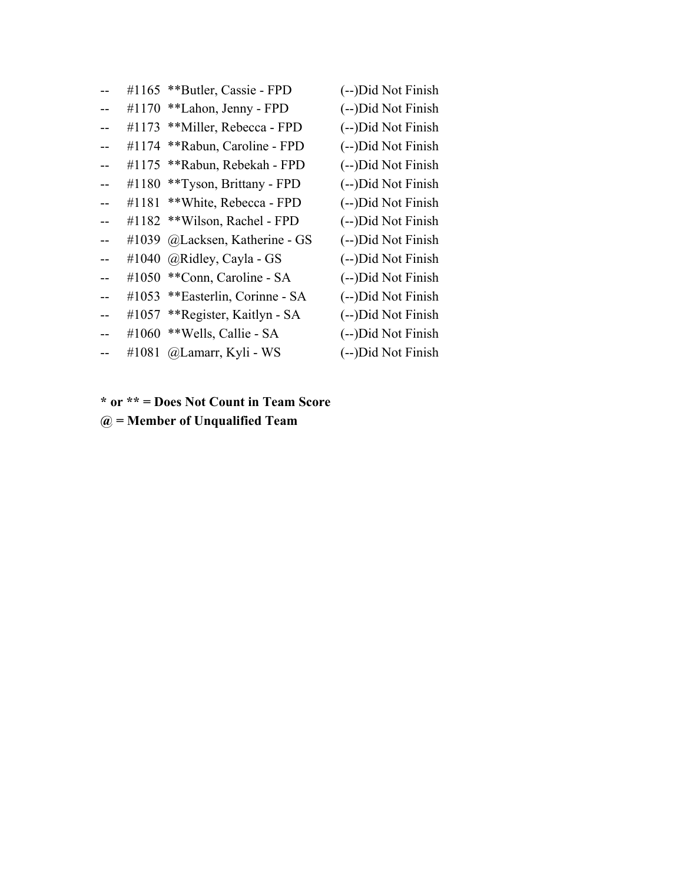| #1165 | **Butler, Cassie - FPD    | (--)Did Not Finish             |
|-------|---------------------------|--------------------------------|
| #1170 | **Lahon, Jenny - FPD      | (--)Did Not Finish             |
| #1173 | **Miller, Rebecca - FPD   | (--)Did Not Finish             |
| #1174 | **Rabun, Caroline - FPD   | (--)Did Not Finish             |
| #1175 | **Rabun, Rebekah - FPD    | (--)Did Not Finish             |
| #1180 | **Tyson, Brittany - FPD   | (--)Did Not Finish             |
| #1181 | **White, Rebecca - FPD    | (--)Did Not Finish             |
| #1182 | ** Wilson, Rachel - FPD   | (--)Did Not Finish             |
| #1039 | @Lacksen, Katherine - GS  | (--)Did Not Finish             |
| #1040 | @Ridley, Cayla - GS       | (--)Did Not Finish             |
| #1050 | **Conn, Caroline - SA     | (--)Did Not Finish             |
| #1053 | **Easterlin, Corinne - SA | (--)Did Not Finish             |
|       |                           | (--)Did Not Finish             |
| #1060 | ** Wells, Callie - SA     | (--)Did Not Finish             |
| #1081 | @Lamarr, Kyli - WS        | (--)Did Not Finish             |
|       |                           | #1057 **Register, Kaitlyn - SA |

**\* or \*\* = Does Not Count in Team Score @ = Member of Unqualified Team**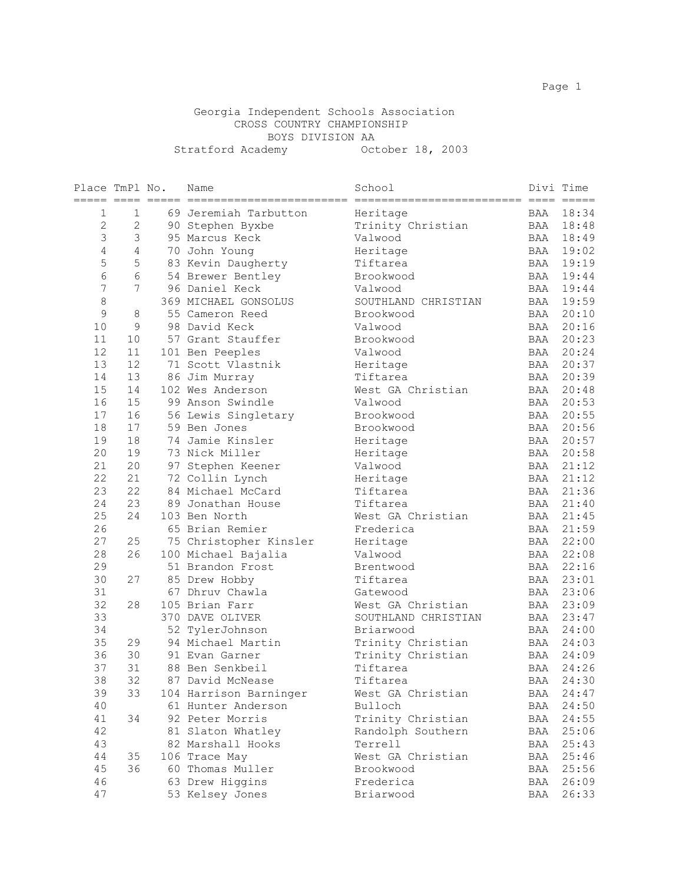#### Georgia Independent Schools Association CROSS COUNTRY CHAMPIONSHIP BOYS DIVISION AA Stratford Academy October 18, 2003

| Place TmPl No. | == ====         | $=$ | Name                   | School              | $====$ | Divi Time<br>$=$ $=$ $=$ $=$ $=$ |
|----------------|-----------------|-----|------------------------|---------------------|--------|----------------------------------|
| $\mathbf 1$    | 1               |     | 69 Jeremiah Tarbutton  | Heritage            | BAA    | 18:34                            |
| $\overline{c}$ | 2               |     | 90 Stephen Byxbe       | Trinity Christian   | BAA    | 18:48                            |
| 3              | 3               |     | 95 Marcus Keck         | Valwood             | BAA    | 18:49                            |
| $\overline{4}$ | $\overline{4}$  |     | 70 John Young          | Heritage            | BAA    | 19:02                            |
| 5              | 5               |     | 83 Kevin Daugherty     | Tiftarea            | BAA    | 19:19                            |
| 6              | 6               |     | 54 Brewer Bentley      | Brookwood           | BAA    | 19:44                            |
| 7              | $7\phantom{.0}$ |     | 96 Daniel Keck         | Valwood             | BAA    | 19:44                            |
| 8              |                 |     | 369 MICHAEL GONSOLUS   | SOUTHLAND CHRISTIAN | BAA    | 19:59                            |
| 9              | 8               |     | 55 Cameron Reed        | Brookwood           | BAA    | 20:10                            |
| 10             | 9               |     | 98 David Keck          | Valwood             | BAA    | 20:16                            |
| 11             | 10              |     | 57 Grant Stauffer      | Brookwood           | BAA    | 20:23                            |
| 12             | 11              |     | 101 Ben Peeples        | Valwood             | BAA    | 20:24                            |
| 13             | 12              |     | 71 Scott Vlastnik      | Heritage            | BAA    | 20:37                            |
| 14             | 13              |     | 86 Jim Murray          | Tiftarea            | BAA    | 20:39                            |
| 15             | 14              |     | 102 Wes Anderson       | West GA Christian   | BAA    | 20:48                            |
| 16             | 15              |     | 99 Anson Swindle       | Valwood             | BAA    | 20:53                            |
| 17             | 16              |     | 56 Lewis Singletary    | Brookwood           | BAA    | 20:55                            |
| 18             | 17              |     | 59 Ben Jones           | Brookwood           | BAA    | 20:56                            |
| 19             | 18              |     | 74 Jamie Kinsler       | Heritage            | BAA    | 20:57                            |
| 20             | 19              |     | 73 Nick Miller         | Heritage            | BAA    | 20:58                            |
| 21             | 20              |     | 97 Stephen Keener      | Valwood             | BAA    | 21:12                            |
| 22             | 21              |     | 72 Collin Lynch        | Heritage            | BAA    | 21:12                            |
| 23             | 22              |     | 84 Michael McCard      | Tiftarea            | BAA    | 21:36                            |
| 24             | 23              |     | 89 Jonathan House      | Tiftarea            | BAA    | 21:40                            |
| 25             | 24              |     | 103 Ben North          | West GA Christian   | BAA    | 21:45                            |
| 26             |                 |     | 65 Brian Remier        | Frederica           | BAA    | 21:59                            |
| 27             | 25              |     | 75 Christopher Kinsler | Heritage            | BAA    | 22:00                            |
| 28             | 26              |     | 100 Michael Bajalia    | Valwood             | BAA    | 22:08                            |
| 29             |                 |     | 51 Brandon Frost       | Brentwood           | BAA    | 22:16                            |
| 30             | 27              |     | 85 Drew Hobby          | Tiftarea            | BAA    | 23:01                            |
| 31             |                 |     | 67 Dhruv Chawla        | Gatewood            | BAA    | 23:06                            |
| 32             | 28              |     | 105 Brian Farr         | West GA Christian   | BAA    | 23:09                            |
| 33             |                 |     | 370 DAVE OLIVER        | SOUTHLAND CHRISTIAN | BAA    | 23:47                            |
| 34             |                 |     | 52 TylerJohnson        | Briarwood           | BAA    | 24:00                            |
| 35             | 29              |     | 94 Michael Martin      | Trinity Christian   | BAA    | 24:03                            |
| 36             | 30              |     | 91 Evan Garner         | Trinity Christian   | BAA    | 24:09                            |
| 37             | 31              |     | 88 Ben Senkbeil        | Tiftarea            | BAA    | 24:26                            |
| 38             | 32              |     | 87 David McNease       | Tiftarea            | BAA    | 24:30                            |
| 39             | 33              |     | 104 Harrison Barninger | West GA Christian   | BAA    | 24:47                            |
| 40             |                 |     | 61 Hunter Anderson     | Bulloch             | BAA    | 24:50                            |
| 41             | 34              |     | 92 Peter Morris        | Trinity Christian   | BAA    | 24:55                            |
| 42             |                 |     | 81 Slaton Whatley      | Randolph Southern   | BAA    | 25:06                            |
| 43             |                 |     | 82 Marshall Hooks      | Terrell             | BAA    | 25:43                            |
| 44             | 35              |     | 106 Trace May          | West GA Christian   | BAA    | 25:46                            |
| 45             | 36              |     | 60 Thomas Muller       | Brookwood           | BAA    | 25:56                            |
| 46             |                 |     | 63 Drew Higgins        | Frederica           | BAA    | 26:09                            |
| 47             |                 |     | 53 Kelsey Jones        | Briarwood           | BAA    | 26:33                            |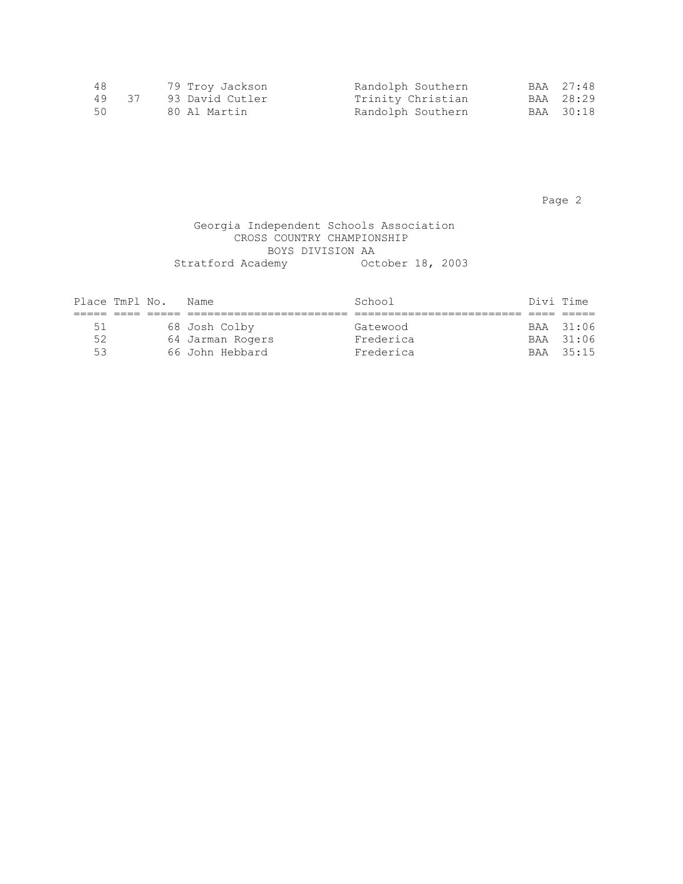| 48    | 79 Troy Jackson | Randolph Southern | BAA 27:48 |
|-------|-----------------|-------------------|-----------|
| 49 37 | 93 David Cutler | Trinity Christian | BAA 28:29 |
| 50    | 80 Al Martin    | Randolph Southern | BAA 30:18 |

Page 2 and 2 and 2 and 2 and 2 and 2 and 2 and 2 and 2 and 2 and 2 and 2 and 2 and 2 and 2 and 2 and 2 and 2 and 2

### Georgia Independent Schools Association CROSS COUNTRY CHAMPIONSHIP BOYS DIVISION AA Stratford Academy October 18, 2003

| Place TmPl No. |  | Name             | School    | Divi Time |           |
|----------------|--|------------------|-----------|-----------|-----------|
|                |  |                  |           |           |           |
| 51             |  | 68 Josh Colby    | Gatewood  |           | BAA 31:06 |
| 52.            |  | 64 Jarman Rogers | Frederica |           | BAA 31:06 |
| 53             |  | 66 John Hebbard  | Frederica |           | BAA 35:15 |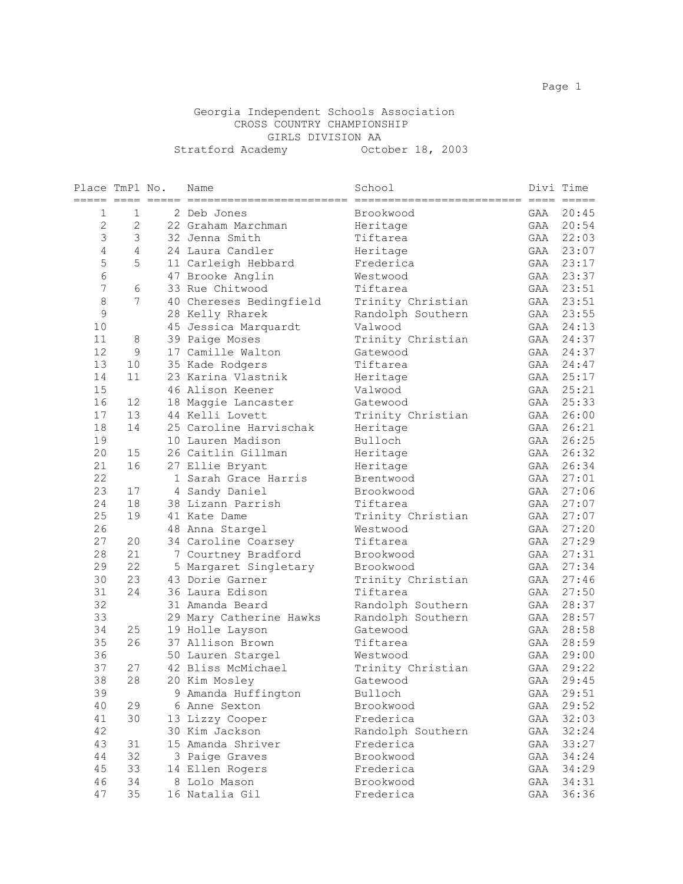#### Georgia Independent Schools Association CROSS COUNTRY CHAMPIONSHIP GIRLS DIVISION AA Stratford Academy October 18, 2003

| Place TmPl No. |                |   | Name                                    | School                        |            | Divi Time      |
|----------------|----------------|---|-----------------------------------------|-------------------------------|------------|----------------|
| 1              | 1              |   | 2 Deb Jones                             | Brookwood                     | GAA        | 20:45          |
| $\overline{2}$ | $\overline{2}$ |   | 22 Graham Marchman                      | Heritage                      | GAA        | 20:54          |
| 3              | 3              |   | 32 Jenna Smith                          | Tiftarea                      | GAA        | 22:03          |
| 4              | 4              |   | 24 Laura Candler                        | Heritage                      | GAA        | 23:07          |
| 5              | 5              |   | 11 Carleigh Hebbard                     | Frederica                     | GAA        | 23:17          |
| 6              |                |   | 47 Brooke Anglin                        | Westwood                      | GAA        | 23:37          |
| 7              | 6              |   | 33 Rue Chitwood                         | Tiftarea                      | GAA        | 23:51          |
| 8              | 7              |   | 40 Chereses Bedingfield                 | Trinity Christian             | GAA        | 23:51          |
| 9              |                |   | 28 Kelly Rharek                         | Randolph Southern             | GAA        | 23:55          |
| 10             |                |   | 45 Jessica Marquardt                    | Valwood                       | GAA        | 24:13          |
| 11             | 8              |   | 39 Paige Moses                          | Trinity Christian             | GAA        | 24:37          |
| 12             | 9              |   | 17 Camille Walton                       | Gatewood                      | GAA        | 24:37          |
| 13             | 10             |   | 35 Kade Rodgers                         | Tiftarea                      | GAA        | 24:47          |
| 14             | 11             |   | 23 Karina Vlastnik                      | Heritage                      | GAA        | 25:17          |
| 15             |                |   | 46 Alison Keener                        | Valwood                       | GAA        | 25:21          |
| 16             | 12             |   | 18 Maggie Lancaster                     | Gatewood                      | GAA        | 25:33          |
| 17             | 13             |   | 44 Kelli Lovett                         | Trinity Christian             | GAA        | 26:00          |
| 18             | 14             |   | 25 Caroline Harvischak                  | Heritage                      | GAA        | 26:21          |
| 19             |                |   | 10 Lauren Madison                       | Bulloch                       | GAA        | 26:25          |
| 20             | 15             |   | 26 Caitlin Gillman                      | Heritage                      | GAA        | 26:32          |
| 21             | 16             |   | 27 Ellie Bryant                         | Heritage                      | GAA        | 26:34          |
| 22             |                |   | 1 Sarah Grace Harris                    | Brentwood                     | GAA        | 27:01          |
| 23             | 17             | 4 | Sandy Daniel                            | Brookwood                     | GAA        | 27:06          |
| 24             | 18             |   | 38 Lizann Parrish                       | Tiftarea                      | GAA        | 27:07          |
| 25             | 19             |   | 41 Kate Dame                            | Trinity Christian             | GAA        | 27:07          |
| 26             |                |   | 48 Anna Stargel                         | Westwood                      | GAA        | 27:20          |
| 27             | 20             |   | 34 Caroline Coarsey                     | Tiftarea                      | GAA        | 27:29          |
| 28             | 21             |   | 7 Courtney Bradford                     | Brookwood                     | GAA        | 27:31          |
| 29             | 22             |   | 5 Margaret Singletary                   | Brookwood                     | GAA        | 27:34          |
| 30             | 23             |   | 43 Dorie Garner                         | Trinity Christian             | GAA        | 27:46          |
| 31             | 24             |   | 36 Laura Edison                         | Tiftarea                      | GAA        | 27:50          |
| 32             |                |   | 31 Amanda Beard                         | Randolph Southern             | GAA        | 28:37          |
| 33             |                |   | 29 Mary Catherine Hawks                 | Randolph Southern             | GAA        | 28:57          |
| 34             | 25<br>26       |   | 19 Holle Layson<br>37 Allison Brown     | Gatewood                      | GAA        | 28:58          |
| 35<br>36       |                |   |                                         | Tiftarea                      | GAA        | 28:59<br>29:00 |
| 37             | 27             |   | 50 Lauren Stargel<br>42 Bliss McMichael | Westwood                      | GAA<br>GAA | 29:22          |
|                | 28             |   |                                         | Trinity Christian<br>Gatewood |            | 29:45          |
| 38<br>39       |                |   | 20 Kim Mosley<br>9 Amanda Huffington    | Bulloch                       | GAA<br>GAA | 29:51          |
| 40             | 29             |   | 6 Anne Sexton                           | Brookwood                     | GAA        | 29:52          |
| 41             | 30             |   | 13 Lizzy Cooper                         | Frederica                     | GAA        | 32:03          |
| 42             |                |   | 30 Kim Jackson                          | Randolph Southern             | GAA        | 32:24          |
| 43             | 31             |   | 15 Amanda Shriver                       | Frederica                     | GAA        | 33:27          |
| 44             | 32             |   | 3 Paige Graves                          | Brookwood                     | GAA        | 34:24          |
| 45             | 33             |   | 14 Ellen Rogers                         | Frederica                     | GAA        | 34:29          |
| 46             | 34             |   | 8 Lolo Mason                            | Brookwood                     | GAA        | 34:31          |
| 47             | 35             |   | 16 Natalia Gil                          | Frederica                     | GAA        | 36:36          |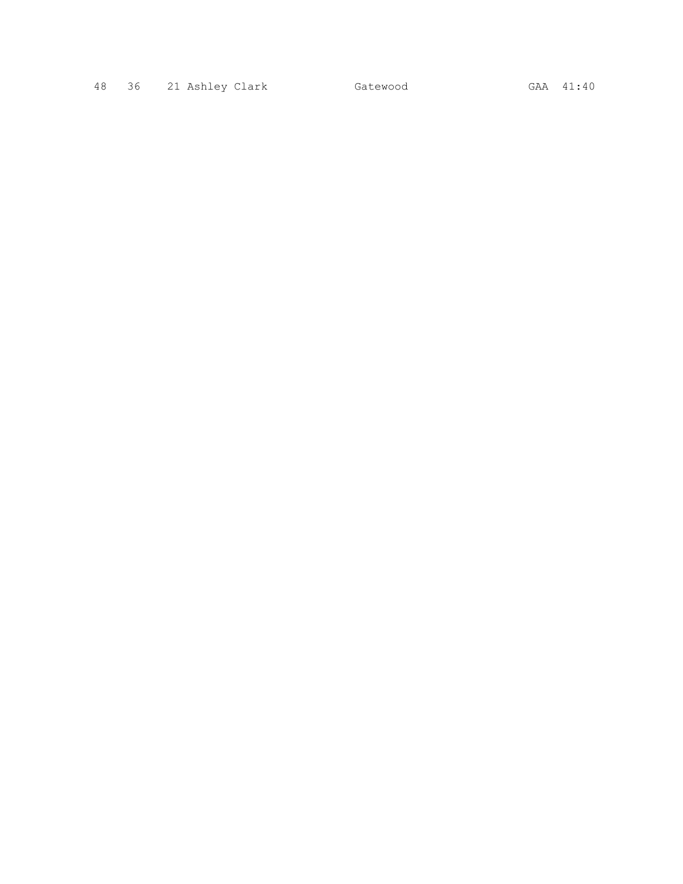48 36 21 Ashley Clark Gatewood GAA 41:40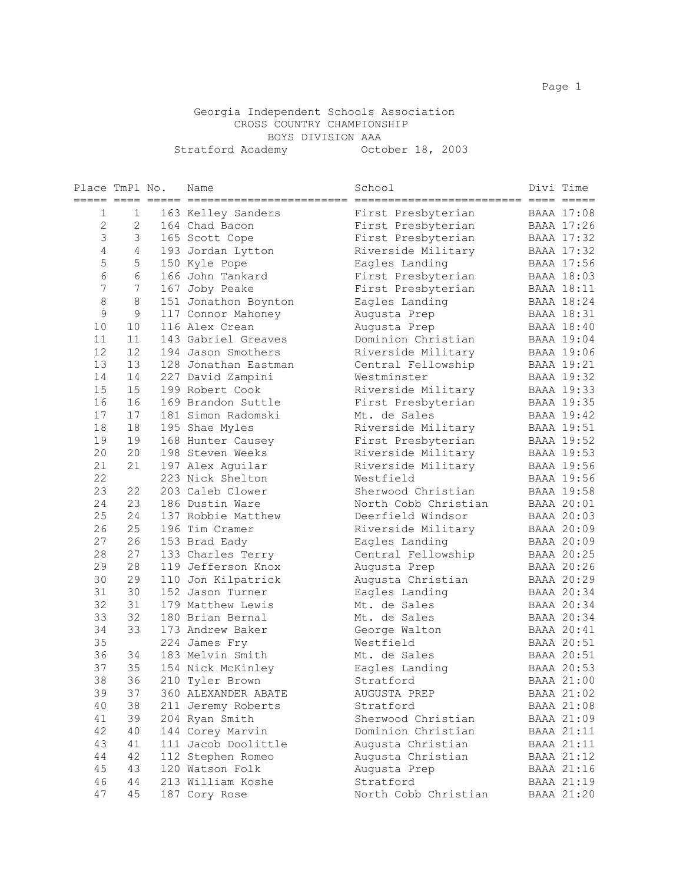#### Georgia Independent Schools Association CROSS COUNTRY CHAMPIONSHIP BOYS DIVISION AAA Stratford Academy October 18, 2003

| Place TmPl No. |                  | Name                 | School               | Divi Time         |
|----------------|------------------|----------------------|----------------------|-------------------|
| ===== ==== ==  |                  |                      |                      |                   |
| 1              | 1                | 163 Kelley Sanders   | First Presbyterian   | <b>BAAA 17:08</b> |
| $\overline{2}$ | 2                | 164 Chad Bacon       | First Presbyterian   | BAAA 17:26        |
| 3              | 3                | 165 Scott Cope       | First Presbyterian   | BAAA 17:32        |
| 4              | $\overline{4}$   | 193 Jordan Lytton    | Riverside Military   | BAAA 17:32        |
| 5              | 5                | 150 Kyle Pope        | Eagles Landing       | <b>BAAA 17:56</b> |
| 6              | 6                | 166 John Tankard     | First Presbyterian   | BAAA 18:03        |
| 7              | $\boldsymbol{7}$ | 167 Joby Peake       | First Presbyterian   | <b>BAAA 18:11</b> |
| 8              | 8                | 151 Jonathon Boynton | Eagles Landing       | BAAA 18:24        |
| $\mathsf 9$    | $\mathsf 9$      | 117 Connor Mahoney   | Augusta Prep         | <b>BAAA 18:31</b> |
| 10             | 10               | 116 Alex Crean       | Augusta Prep         | <b>BAAA 18:40</b> |
| 11             | 11               | 143 Gabriel Greaves  | Dominion Christian   | BAAA 19:04        |
| 12             | 12               | 194 Jason Smothers   | Riverside Military   | <b>BAAA 19:06</b> |
| 13             | 13               | 128 Jonathan Eastman | Central Fellowship   | BAAA 19:21        |
| 14             | 14               | 227 David Zampini    | Westminster          | BAAA 19:32        |
| 15             | 15               | 199 Robert Cook      | Riverside Military   | BAAA 19:33        |
| 16             | 16               | 169 Brandon Suttle   | First Presbyterian   | BAAA 19:35        |
| 17             | 17               | 181 Simon Radomski   | Mt. de Sales         | BAAA 19:42        |
| 18             | 18               | 195 Shae Myles       | Riverside Military   | BAAA 19:51        |
| 19             | 19               | 168 Hunter Causey    | First Presbyterian   | BAAA 19:52        |
| 20             | 20               | 198 Steven Weeks     | Riverside Military   | BAAA 19:53        |
| 21             | 21               | 197 Alex Aquilar     | Riverside Military   | BAAA 19:56        |
| 22             |                  | 223 Nick Shelton     | Westfield            | BAAA 19:56        |
| 23             | 22               | 203 Caleb Clower     | Sherwood Christian   | BAAA 19:58        |
| 24             | 23               | 186 Dustin Ware      | North Cobb Christian | BAAA 20:01        |
| 25             | 24               | 137 Robbie Matthew   | Deerfield Windsor    | BAAA 20:03        |
| 26             | 25               | 196 Tim Cramer       | Riverside Military   | BAAA 20:09        |
| 27             | 26               | 153 Brad Eady        | Eagles Landing       | BAAA 20:09        |
| 28             | 27               | 133 Charles Terry    | Central Fellowship   | BAAA 20:25        |
| 29             | 28               | 119 Jefferson Knox   | Augusta Prep         | BAAA 20:26        |
| 30             | 29               | 110 Jon Kilpatrick   | Augusta Christian    | BAAA 20:29        |
| 31             | 30               | 152 Jason Turner     | Eagles Landing       | BAAA 20:34        |
| 32             | 31               | 179 Matthew Lewis    | Mt. de Sales         | BAAA 20:34        |
| 33             | 32               | 180 Brian Bernal     | Mt. de Sales         | BAAA 20:34        |
| 34             | 33               | 173 Andrew Baker     | George Walton        | BAAA 20:41        |
| 35             |                  | 224 James Fry        | Westfield            | BAAA 20:51        |
| 36             | 34               | 183 Melvin Smith     | Mt. de Sales         | BAAA 20:51        |
| 37             | 35               | 154 Nick McKinley    | Eagles Landing       | BAAA 20:53        |
| 38             | 36               | 210 Tyler Brown      | Stratford            | BAAA 21:00        |
| 39             | 37               | 360 ALEXANDER ABATE  | AUGUSTA PREP         | BAAA 21:02        |
| 40             | 38               | 211 Jeremy Roberts   | Stratford            | BAAA 21:08        |
| 41             | 39               | 204 Ryan Smith       | Sherwood Christian   | BAAA 21:09        |
| 42             | 40               | 144 Corey Marvin     | Dominion Christian   | <b>BAAA 21:11</b> |
| 43             | 41               | 111 Jacob Doolittle  | Augusta Christian    | <b>BAAA 21:11</b> |
| 44             | 42               | 112 Stephen Romeo    | Augusta Christian    | BAAA 21:12        |
| 45             | 43               | 120 Watson Folk      | Augusta Prep         | BAAA 21:16        |
| 46             | 44               | 213 William Koshe    | Stratford            | BAAA 21:19        |
| 47             | 45               | 187 Cory Rose        | North Cobb Christian | BAAA 21:20        |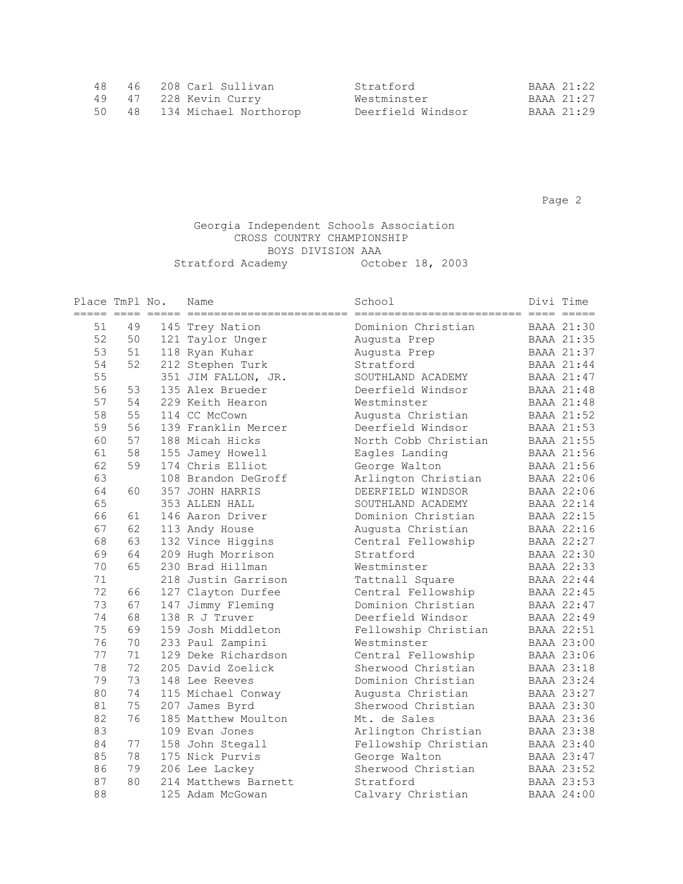|  | 48 46 208 Carl Sullivan     | Stratford         | BAAA 21:22 |
|--|-----------------------------|-------------------|------------|
|  | 49 47 228 Kevin Curry       | Westminster       | BAAA 21:27 |
|  | 50 48 134 Michael Northorop | Deerfield Windsor | BAAA 21:29 |

Page 2 and 2 and 2 and 2 and 2 and 2 and 2 and 2 and 2 and 2 and 2 and 2 and 2 and 2 and 2 and 2 and 2 and 2 and 2

#### Georgia Independent Schools Association CROSS COUNTRY CHAMPIONSHIP BOYS DIVISION AAA Stratford Academy October 18, 2003

| Place TmPl No.<br>===== ==== |    | Name                 | School               | Divi Time         |
|------------------------------|----|----------------------|----------------------|-------------------|
| 51                           | 49 | 145 Trey Nation      | Dominion Christian   | <b>BAAA 21:30</b> |
| 52                           | 50 | 121 Taylor Unger     | Augusta Prep         | <b>BAAA 21:35</b> |
| 53                           | 51 | 118 Ryan Kuhar       | Augusta Prep         | BAAA 21:37        |
| 54                           | 52 | 212 Stephen Turk     | Stratford            | BAAA 21:44        |
| 55                           |    | 351 JIM FALLON, JR.  | SOUTHLAND ACADEMY    | BAAA 21:47        |
| 56                           | 53 | 135 Alex Brueder     | Deerfield Windsor    | BAAA 21:48        |
| 57                           | 54 | 229 Keith Hearon     | Westminster          | <b>BAAA 21:48</b> |
| 58                           | 55 | 114 CC McCown        | Augusta Christian    | BAAA 21:52        |
| 59                           | 56 | 139 Franklin Mercer  | Deerfield Windsor    | BAAA 21:53        |
| 60                           | 57 | 188 Micah Hicks      | North Cobb Christian | BAAA 21:55        |
| 61                           | 58 | 155 Jamey Howell     | Eagles Landing       | <b>BAAA 21:56</b> |
| 62                           | 59 | 174 Chris Elliot     | George Walton        | BAAA 21:56        |
| 63                           |    | 108 Brandon DeGroff  | Arlington Christian  | BAAA 22:06        |
| 64                           | 60 | 357 JOHN HARRIS      | DEERFIELD WINDSOR    | BAAA 22:06        |
| 65                           |    | 353 ALLEN HALL       | SOUTHLAND ACADEMY    | BAAA 22:14        |
| 66                           | 61 | 146 Aaron Driver     | Dominion Christian   | BAAA 22:15        |
| 67                           | 62 | 113 Andy House       | Augusta Christian    | BAAA 22:16        |
| 68                           | 63 | 132 Vince Higgins    | Central Fellowship   | BAAA 22:27        |
| 69                           | 64 | 209 Hugh Morrison    | Stratford            | BAAA 22:30        |
| 70                           | 65 | 230 Brad Hillman     | Westminster          | BAAA 22:33        |
| 71                           |    | 218 Justin Garrison  | Tattnall Square      | BAAA 22:44        |
| 72                           | 66 | 127 Clayton Durfee   | Central Fellowship   | BAAA 22:45        |
| 73                           | 67 | 147 Jimmy Fleming    | Dominion Christian   | BAAA 22:47        |
| 74                           | 68 | 138 R J Truver       | Deerfield Windsor    | BAAA 22:49        |
| 75                           | 69 | 159 Josh Middleton   | Fellowship Christian | BAAA 22:51        |
| 76                           | 70 | 233 Paul Zampini     | Westminster          | BAAA 23:00        |
| 77                           | 71 | 129 Deke Richardson  | Central Fellowship   | BAAA 23:06        |
| 78                           | 72 | 205 David Zoelick    | Sherwood Christian   | BAAA 23:18        |
| 79                           | 73 | 148 Lee Reeves       | Dominion Christian   | BAAA 23:24        |
| 80                           | 74 | 115 Michael Conway   | Augusta Christian    | BAAA 23:27        |
| 81                           | 75 | 207 James Byrd       | Sherwood Christian   | BAAA 23:30        |
| 82                           | 76 | 185 Matthew Moulton  | Mt. de Sales         | BAAA 23:36        |
| 83                           |    | 109 Evan Jones       | Arlington Christian  | BAAA 23:38        |
| 84                           | 77 | 158 John Stegall     | Fellowship Christian | BAAA 23:40        |
| 85                           | 78 | 175 Nick Purvis      | George Walton        | BAAA 23:47        |
| 86                           | 79 | 206 Lee Lackey       | Sherwood Christian   | BAAA 23:52        |
| 87                           | 80 | 214 Matthews Barnett | Stratford            | BAAA 23:53        |
| 88                           |    | 125 Adam McGowan     | Calvary Christian    | <b>BAAA 24:00</b> |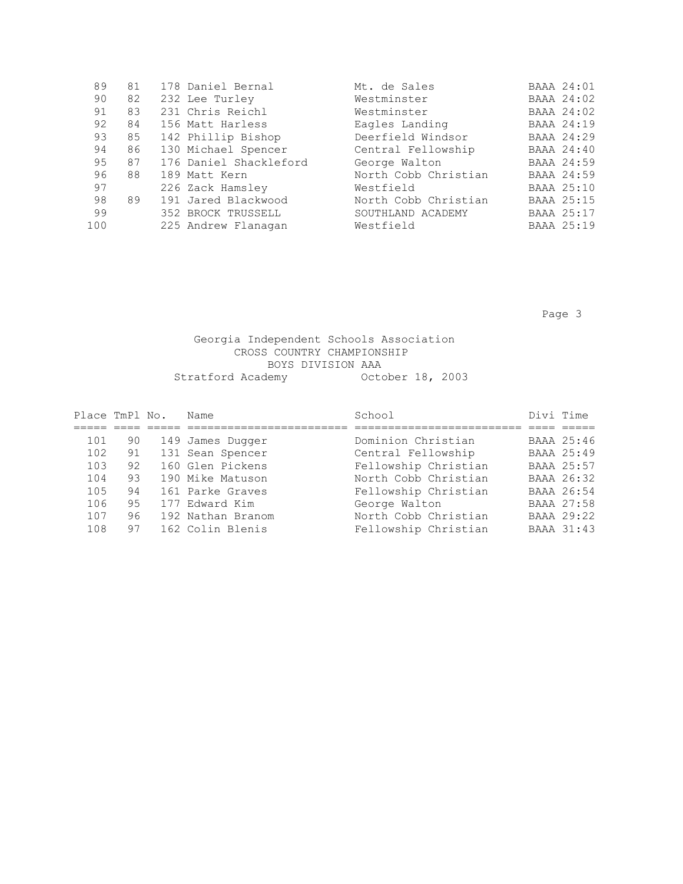| 89  | 81 | 178 Daniel Bernal      | Mt. de Sales         | BAAA 24:01        |
|-----|----|------------------------|----------------------|-------------------|
| 90  | 82 | 232 Lee Turley         | Westminster          | <b>BAAA 24:02</b> |
| 91  | 83 | 231 Chris Reichl       | Westminster          | <b>BAAA 24:02</b> |
| 92  | 84 | 156 Matt Harless       | Eagles Landing       | BAAA 24:19        |
| 93  | 85 | 142 Phillip Bishop     | Deerfield Windsor    | BAAA 24:29        |
| 94  | 86 | 130 Michael Spencer    | Central Fellowship   | BAAA 24:40        |
| 95  | 87 | 176 Daniel Shackleford | George Walton        | BAAA 24:59        |
| 96  | 88 | 189 Matt Kern          | North Cobb Christian | BAAA 24:59        |
| 97  |    | 226 Zack Hamsley       | Westfield            | BAAA 25:10        |
| 98  | 89 | 191 Jared Blackwood    | North Cobb Christian | BAAA 25:15        |
| 99  |    | 352 BROCK TRUSSELL     | SOUTHLAND ACADEMY    | BAAA 25:17        |
| 100 |    | 225 Andrew Flanagan    | Westfield            | BAAA 25:19        |
|     |    |                        |                      |                   |

Page 3 and the state of the state of the state of the state  $\sim$  Page 3

### Georgia Independent Schools Association CROSS COUNTRY CHAMPIONSHIP BOYS DIVISION AAA Stratford Academy October 18, 2003

| Place TmPl No. |    | Name              | School               | Divi Time |                   |
|----------------|----|-------------------|----------------------|-----------|-------------------|
|                |    |                   |                      |           |                   |
| 101            | 90 | 149 James Dugger  | Dominion Christian   |           | BAAA 25:46        |
| 102            | 91 | 131 Sean Spencer  | Central Fellowship   |           | BAAA 25:49        |
| 103            | 92 | 160 Glen Pickens  | Fellowship Christian |           | BAAA 25:57        |
| 104            | 93 | 190 Mike Matuson  | North Cobb Christian |           | BAAA 26:32        |
| 105            | 94 | 161 Parke Graves  | Fellowship Christian |           | BAAA 26:54        |
| 106            | 95 | 177 Edward Kim    | George Walton        |           | BAAA 27:58        |
| 107            | 96 | 192 Nathan Branom | North Cobb Christian |           | BAAA 29:22        |
| 108            | 97 | 162 Colin Blenis  | Fellowship Christian |           | <b>BAAA 31:43</b> |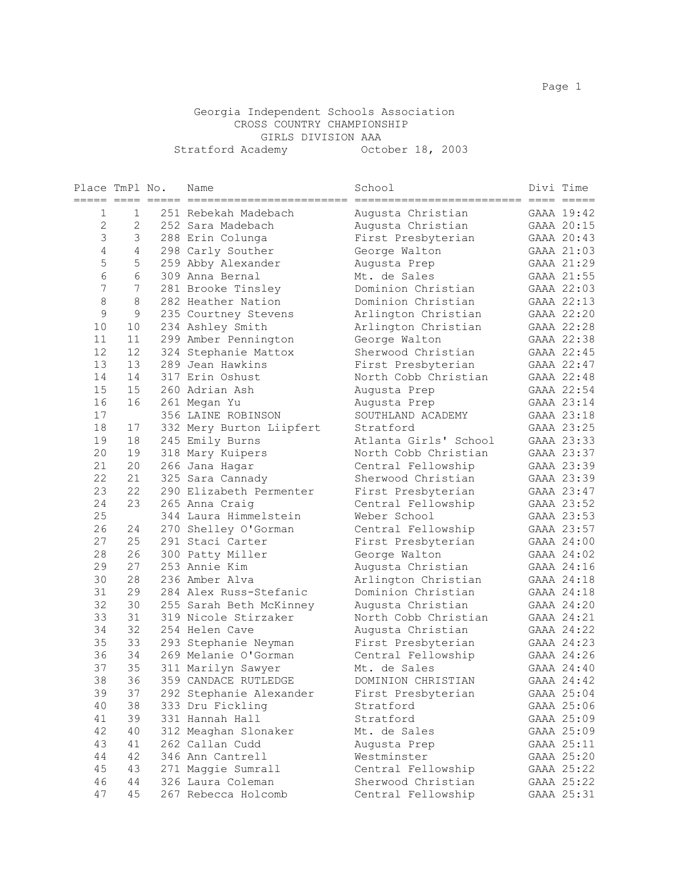#### Georgia Independent Schools Association CROSS COUNTRY CHAMPIONSHIP GIRLS DIVISION AAA Stratford Academy October 18, 2003

| Place TmPl No.<br>===== ==== |          | Name                                | School                                         | Divi Time |                          |
|------------------------------|----------|-------------------------------------|------------------------------------------------|-----------|--------------------------|
| 1                            | 1        | 251 Rebekah Madebach                | =========================<br>Augusta Christian |           | GAAA 19:42               |
| $\overline{2}$               | 2        | 252 Sara Madebach                   | Augusta Christian                              |           | GAAA 20:15               |
| 3                            | 3        | 288 Erin Colunga                    | First Presbyterian                             |           | GAAA 20:43               |
| $\overline{4}$               | 4        | 298 Carly Souther                   | George Walton                                  |           | GAAA 21:03               |
| 5                            | 5        | 259 Abby Alexander                  | Augusta Prep                                   |           | GAAA 21:29               |
| 6                            | 6        | 309 Anna Bernal                     | Mt. de Sales                                   |           | GAAA 21:55               |
| 7                            | 7        | 281 Brooke Tinsley                  | Dominion Christian                             |           | GAAA 22:03               |
| 8                            | 8        | 282 Heather Nation                  | Dominion Christian                             |           | GAAA 22:13               |
| 9                            | 9        | 235 Courtney Stevens                | Arlington Christian                            |           | GAAA 22:20               |
| 10                           | 10       | 234 Ashley Smith                    | Arlington Christian                            |           | GAAA 22:28               |
| 11                           | 11       | 299 Amber Pennington                | George Walton                                  |           | GAAA 22:38               |
| 12                           | 12       | 324 Stephanie Mattox                | Sherwood Christian                             |           | GAAA 22:45               |
| 13                           | 13       | 289 Jean Hawkins                    | First Presbyterian                             |           | GAAA 22:47               |
| 14                           | 14       | 317 Erin Oshust                     | North Cobb Christian                           |           | GAAA 22:48               |
| 15                           | 15       | 260 Adrian Ash                      | Augusta Prep                                   |           | GAAA 22:54               |
| 16                           | 16       | 261 Megan Yu                        | Augusta Prep                                   |           | GAAA 23:14               |
| 17                           |          | 356 LAINE ROBINSON                  | SOUTHLAND ACADEMY                              |           | GAAA 23:18               |
| 18                           | 17       | 332 Mery Burton Liipfert            | Stratford                                      |           | GAAA 23:25               |
| 19                           | 18       | 245 Emily Burns                     | Atlanta Girls' School                          |           | GAAA 23:33               |
| 20                           | 19       | 318 Mary Kuipers                    | North Cobb Christian                           |           | GAAA 23:37               |
| 21                           | 20       | 266 Jana Hagar                      | Central Fellowship                             |           | GAAA 23:39               |
| 22                           | 21       | 325 Sara Cannady                    | Sherwood Christian                             |           | GAAA 23:39               |
| 23                           | 22       | 290 Elizabeth Permenter             | First Presbyterian                             |           | GAAA 23:47               |
| 24                           | 23       | 265 Anna Craig                      | Central Fellowship                             |           | GAAA 23:52               |
| 25                           |          | 344 Laura Himmelstein               | Weber School                                   |           | GAAA 23:53               |
| 26                           | 24       | 270 Shelley O'Gorman                | Central Fellowship                             |           | GAAA 23:57               |
| 27                           | 25       | 291 Staci Carter                    | First Presbyterian                             |           | GAAA 24:00               |
| 28                           | 26       | 300 Patty Miller                    | George Walton                                  |           | GAAA 24:02               |
| 29                           | 27       | 253 Annie Kim                       | Augusta Christian                              |           | GAAA 24:16               |
| 30                           | 28       | 236 Amber Alva                      | Arlington Christian                            |           | GAAA 24:18               |
| 31                           | 29       | 284 Alex Russ-Stefanic              | Dominion Christian                             |           | GAAA 24:18               |
| 32                           | 30       | 255 Sarah Beth McKinney             | Augusta Christian                              |           | GAAA 24:20               |
| 33                           | 31       | 319 Nicole Stirzaker                | North Cobb Christian                           |           | GAAA 24:21               |
| 34                           | 32       | 254 Helen Cave                      | Augusta Christian                              |           | GAAA 24:22               |
| 35                           | 33       | 293 Stephanie Neyman                | First Presbyterian                             |           | GAAA 24:23               |
| 36                           | 34       | 269 Melanie O'Gorman                | Central Fellowship                             |           | GAAA 24:26               |
| 37                           | 35       | 311 Marilyn Sawyer                  | Mt. de Sales                                   |           | GAAA 24:40               |
| 38                           | 36       | 359 CANDACE RUTLEDGE                | DOMINION CHRISTIAN                             |           | GAAA 24:42               |
| 39                           | 37       | 292 Stephanie Alexander             | First Presbyterian                             |           | GAAA 25:04               |
| 40<br>41                     | 38<br>39 | 333 Dru Fickling<br>331 Hannah Hall | Stratford<br>Stratford                         |           | GAAA 25:06<br>GAAA 25:09 |
| 42                           | 40       | 312 Meaghan Slonaker                | Mt. de Sales                                   |           | GAAA 25:09               |
|                              |          |                                     |                                                |           |                          |
| 43<br>44                     | 41<br>42 | 262 Callan Cudd<br>346 Ann Cantrell | Augusta Prep<br>Westminster                    |           | GAAA 25:11<br>GAAA 25:20 |
| 45                           | 43       | 271 Maggie Sumrall                  | Central Fellowship                             |           | GAAA 25:22               |
| 46                           | 44       | 326 Laura Coleman                   | Sherwood Christian                             |           | GAAA 25:22               |
| 47                           | 45       | 267 Rebecca Holcomb                 | Central Fellowship                             |           | GAAA 25:31               |
|                              |          |                                     |                                                |           |                          |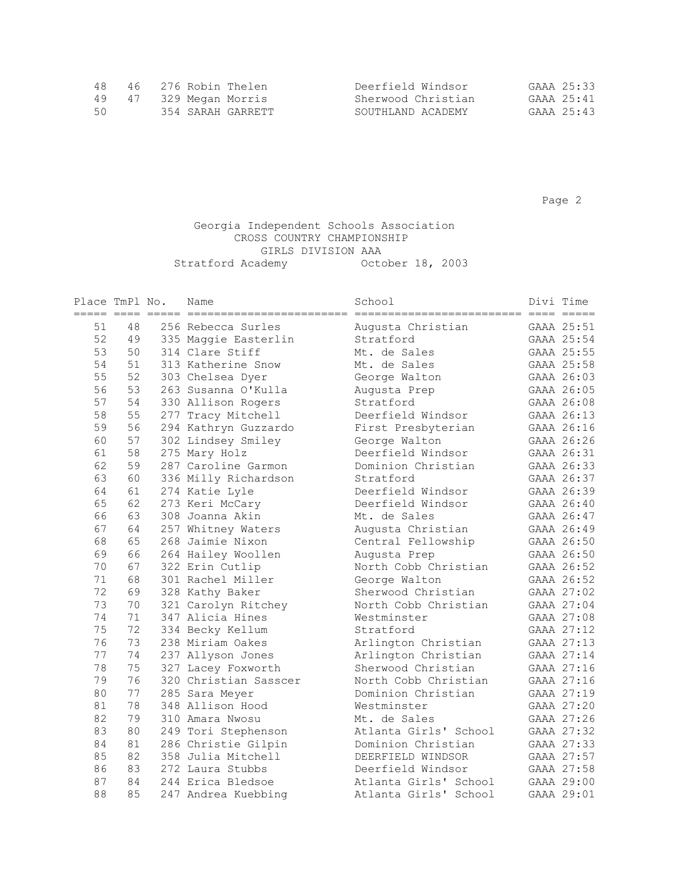| 48. |  | 46 276 Robin Thelen    | Deerfield Windsor  | GAAA 25:33 |
|-----|--|------------------------|--------------------|------------|
|     |  | 49 47 329 Megan Morris | Sherwood Christian | GAAA 25:41 |
| 50  |  | 354 SARAH GARRETT      | SOUTHLAND ACADEMY  | GAAA 25:43 |

Page 2 and 2 and 2 and 2 and 2 and 2 and 2 and 2 and 2 and 2 and 2 and 2 and 2 and 2 and 2 and 2 and 2 and 2 and 2

#### Georgia Independent Schools Association CROSS COUNTRY CHAMPIONSHIP GIRLS DIVISION AAA Stratford Academy October 18, 2003

| Place TmPl No.<br>$=$ ==== $=$ === |    | $------$ | Name<br>---------------- | School<br>_____________________________ | Divi Time  |
|------------------------------------|----|----------|--------------------------|-----------------------------------------|------------|
| 51                                 | 48 |          | 256 Rebecca Surles       | Augusta Christian                       | GAAA 25:51 |
| 52                                 | 49 |          | 335 Maggie Easterlin     | Stratford                               | GAAA 25:54 |
| 53                                 | 50 |          | 314 Clare Stiff          | Mt. de Sales                            | GAAA 25:55 |
| 54                                 | 51 |          | 313 Katherine Snow       | Mt. de Sales                            | GAAA 25:58 |
| 55                                 | 52 |          | 303 Chelsea Dyer         | George Walton                           | GAAA 26:03 |
| 56                                 | 53 |          | 263 Susanna O'Kulla      | Augusta Prep                            | GAAA 26:05 |
| 57                                 | 54 |          | 330 Allison Rogers       | Stratford                               | GAAA 26:08 |
| 58                                 | 55 |          | 277 Tracy Mitchell       | Deerfield Windsor                       | GAAA 26:13 |
| 59                                 | 56 |          | 294 Kathryn Guzzardo     | First Presbyterian                      | GAAA 26:16 |
| 60                                 | 57 |          | 302 Lindsey Smiley       | George Walton                           | GAAA 26:26 |
| 61                                 | 58 |          | 275 Mary Holz            | Deerfield Windsor                       | GAAA 26:31 |
| 62                                 | 59 |          | 287 Caroline Garmon      | Dominion Christian                      | GAAA 26:33 |
| 63                                 | 60 |          | 336 Milly Richardson     | Stratford                               | GAAA 26:37 |
| 64                                 | 61 |          | 274 Katie Lyle           | Deerfield Windsor                       | GAAA 26:39 |
| 65                                 | 62 |          | 273 Keri McCary          | Deerfield Windsor                       | GAAA 26:40 |
| 66                                 | 63 |          | 308 Joanna Akin          | Mt. de Sales                            | GAAA 26:47 |
| 67                                 | 64 |          | 257 Whitney Waters       | Augusta Christian                       | GAAA 26:49 |
| 68                                 | 65 |          | 268 Jaimie Nixon         | Central Fellowship                      | GAAA 26:50 |
| 69                                 | 66 |          | 264 Hailey Woollen       | Augusta Prep                            | GAAA 26:50 |
| 70                                 | 67 |          | 322 Erin Cutlip          | North Cobb Christian                    | GAAA 26:52 |
| 71                                 | 68 |          | 301 Rachel Miller        | George Walton                           | GAAA 26:52 |
| 72                                 | 69 |          | 328 Kathy Baker          | Sherwood Christian                      | GAAA 27:02 |
| 73                                 | 70 |          | 321 Carolyn Ritchey      | North Cobb Christian                    | GAAA 27:04 |
| 74                                 | 71 |          | 347 Alicia Hines         | Westminster                             | GAAA 27:08 |
| 75                                 | 72 |          | 334 Becky Kellum         | Stratford                               | GAAA 27:12 |
| 76                                 | 73 |          | 238 Miriam Oakes         | Arlington Christian                     | GAAA 27:13 |
| 77                                 | 74 |          | 237 Allyson Jones        | Arlington Christian                     | GAAA 27:14 |
| 78                                 | 75 |          | 327 Lacey Foxworth       | Sherwood Christian                      | GAAA 27:16 |
| 79                                 | 76 |          | 320 Christian Sasscer    | North Cobb Christian                    | GAAA 27:16 |
| 80                                 | 77 |          | 285 Sara Meyer           | Dominion Christian                      | GAAA 27:19 |
| 81                                 | 78 |          | 348 Allison Hood         | Westminster                             | GAAA 27:20 |
| 82                                 | 79 |          | 310 Amara Nwosu          | Mt. de Sales                            | GAAA 27:26 |
| 83                                 | 80 |          | 249 Tori Stephenson      | Atlanta Girls' School                   | GAAA 27:32 |
| 84                                 | 81 |          | 286 Christie Gilpin      | Dominion Christian                      | GAAA 27:33 |
| 85                                 | 82 |          | 358 Julia Mitchell       | DEERFIELD WINDSOR                       | GAAA 27:57 |
| 86                                 | 83 |          | 272 Laura Stubbs         | Deerfield Windsor                       | GAAA 27:58 |
| 87                                 | 84 |          | 244 Erica Bledsoe        | Atlanta Girls' School                   | GAAA 29:00 |
| 88                                 | 85 |          | 247 Andrea Kuebbing      | Atlanta Girls' School                   | GAAA 29:01 |